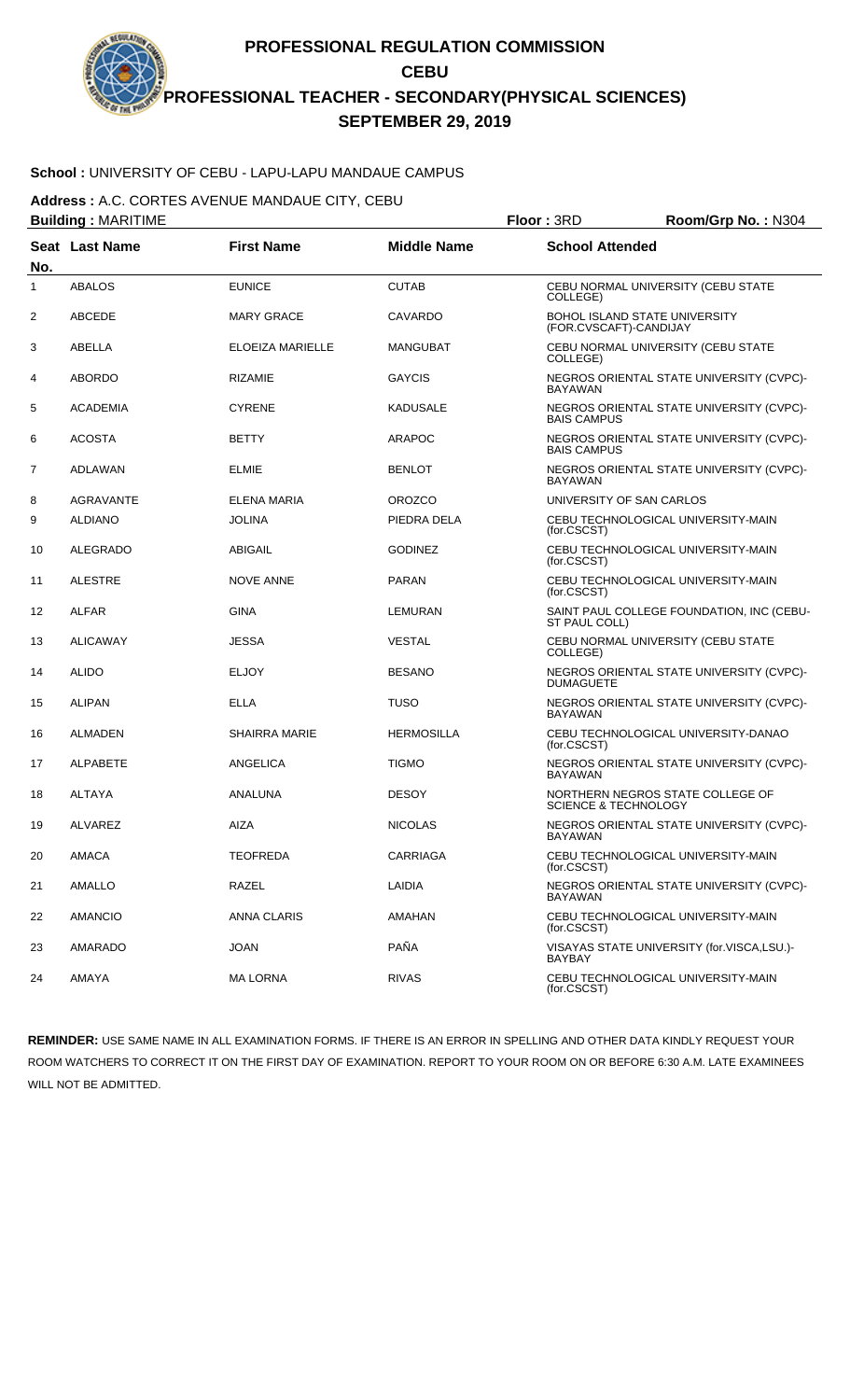# **School :** UNIVERSITY OF CEBU - LAPU-LAPU MANDAUE CAMPUS

**Address :** A.C. CORTES AVENUE MANDAUE CITY, CEBU

| <b>Building: MARITIME</b> |                       |                      |                    | Floor: 3RD                                                          | Room/Grp No.: N304                         |
|---------------------------|-----------------------|----------------------|--------------------|---------------------------------------------------------------------|--------------------------------------------|
| No.                       | <b>Seat Last Name</b> | <b>First Name</b>    | <b>Middle Name</b> | <b>School Attended</b>                                              |                                            |
| 1                         | <b>ABALOS</b>         | <b>EUNICE</b>        | <b>CUTAB</b>       | CEBU NORMAL UNIVERSITY (CEBU STATE<br>COLLEGE)                      |                                            |
| 2                         | <b>ABCEDE</b>         | <b>MARY GRACE</b>    | <b>CAVARDO</b>     | <b>BOHOL ISLAND STATE UNIVERSITY</b><br>(FOR.CVSCAFT)-CANDIJAY      |                                            |
| 3                         | ABELLA                | ELOEIZA MARIELLE     | <b>MANGUBAT</b>    | CEBU NORMAL UNIVERSITY (CEBU STATE<br>COLLEGE)                      |                                            |
| 4                         | <b>ABORDO</b>         | <b>RIZAMIE</b>       | <b>GAYCIS</b>      | <b>BAYAWAN</b>                                                      | NEGROS ORIENTAL STATE UNIVERSITY (CVPC)-   |
| 5                         | <b>ACADEMIA</b>       | <b>CYRENE</b>        | <b>KADUSALE</b>    | <b>BAIS CAMPUS</b>                                                  | NEGROS ORIENTAL STATE UNIVERSITY (CVPC)-   |
| 6                         | <b>ACOSTA</b>         | <b>BETTY</b>         | <b>ARAPOC</b>      | <b>BAIS CAMPUS</b>                                                  | NEGROS ORIENTAL STATE UNIVERSITY (CVPC)-   |
| 7                         | ADLAWAN               | <b>ELMIE</b>         | <b>BENLOT</b>      | <b>BAYAWAN</b>                                                      | NEGROS ORIENTAL STATE UNIVERSITY (CVPC)-   |
| 8                         | <b>AGRAVANTE</b>      | ELENA MARIA          | <b>OROZCO</b>      | UNIVERSITY OF SAN CARLOS                                            |                                            |
| 9                         | <b>ALDIANO</b>        | <b>JOLINA</b>        | PIEDRA DELA        | CEBU TECHNOLOGICAL UNIVERSITY-MAIN<br>(for.CSCST)                   |                                            |
| 10                        | ALEGRADO              | ABIGAIL              | <b>GODINEZ</b>     | CEBU TECHNOLOGICAL UNIVERSITY-MAIN<br>(for.CSCST)                   |                                            |
| 11                        | <b>ALESTRE</b>        | <b>NOVE ANNE</b>     | <b>PARAN</b>       | CEBU TECHNOLOGICAL UNIVERSITY-MAIN<br>(for.CSCST)                   |                                            |
| 12                        | <b>ALFAR</b>          | <b>GINA</b>          | <b>LEMURAN</b>     | ST PAUL COLL)                                                       | SAINT PAUL COLLEGE FOUNDATION, INC (CEBU-  |
| 13                        | <b>ALICAWAY</b>       | <b>JESSA</b>         | <b>VESTAL</b>      | CEBU NORMAL UNIVERSITY (CEBU STATE<br>COLLEGE)                      |                                            |
| 14                        | <b>ALIDO</b>          | <b>ELJOY</b>         | <b>BESANO</b>      | <b>DUMAGUETE</b>                                                    | NEGROS ORIENTAL STATE UNIVERSITY (CVPC)-   |
| 15                        | <b>ALIPAN</b>         | <b>ELLA</b>          | TUSO               | <b>BAYAWAN</b>                                                      | NEGROS ORIENTAL STATE UNIVERSITY (CVPC)-   |
| 16                        | <b>ALMADEN</b>        | <b>SHAIRRA MARIE</b> | <b>HERMOSILLA</b>  | (for.CSCST)                                                         | CEBU TECHNOLOGICAL UNIVERSITY-DANAO        |
| 17                        | <b>ALPABETE</b>       | ANGELICA             | <b>TIGMO</b>       | <b>BAYAWAN</b>                                                      | NEGROS ORIENTAL STATE UNIVERSITY (CVPC)-   |
| 18                        | ALTAYA                | ANALUNA              | <b>DESOY</b>       | NORTHERN NEGROS STATE COLLEGE OF<br><b>SCIENCE &amp; TECHNOLOGY</b> |                                            |
| 19                        | <b>ALVAREZ</b>        | AIZA                 | <b>NICOLAS</b>     | BAYAWAN                                                             | NEGROS ORIENTAL STATE UNIVERSITY (CVPC)-   |
| 20                        | AMACA                 | <b>TEOFREDA</b>      | <b>CARRIAGA</b>    | CEBU TECHNOLOGICAL UNIVERSITY-MAIN<br>(for.CSCST)                   |                                            |
| 21                        | AMALLO                | RAZEL                | LAIDIA             | <b>BAYAWAN</b>                                                      | NEGROS ORIENTAL STATE UNIVERSITY (CVPC)-   |
| 22                        | <b>AMANCIO</b>        | ANNA CLARIS          | AMAHAN             | CEBU TECHNOLOGICAL UNIVERSITY-MAIN<br>(for.CSCST)                   |                                            |
| 23                        | AMARADO               | <b>JOAN</b>          | PAÑA               | BAYBAY                                                              | VISAYAS STATE UNIVERSITY (for.VISCA,LSU.)- |
| 24                        | AMAYA                 | <b>MA LORNA</b>      | <b>RIVAS</b>       | CEBU TECHNOLOGICAL UNIVERSITY-MAIN<br>(for.CSCST)                   |                                            |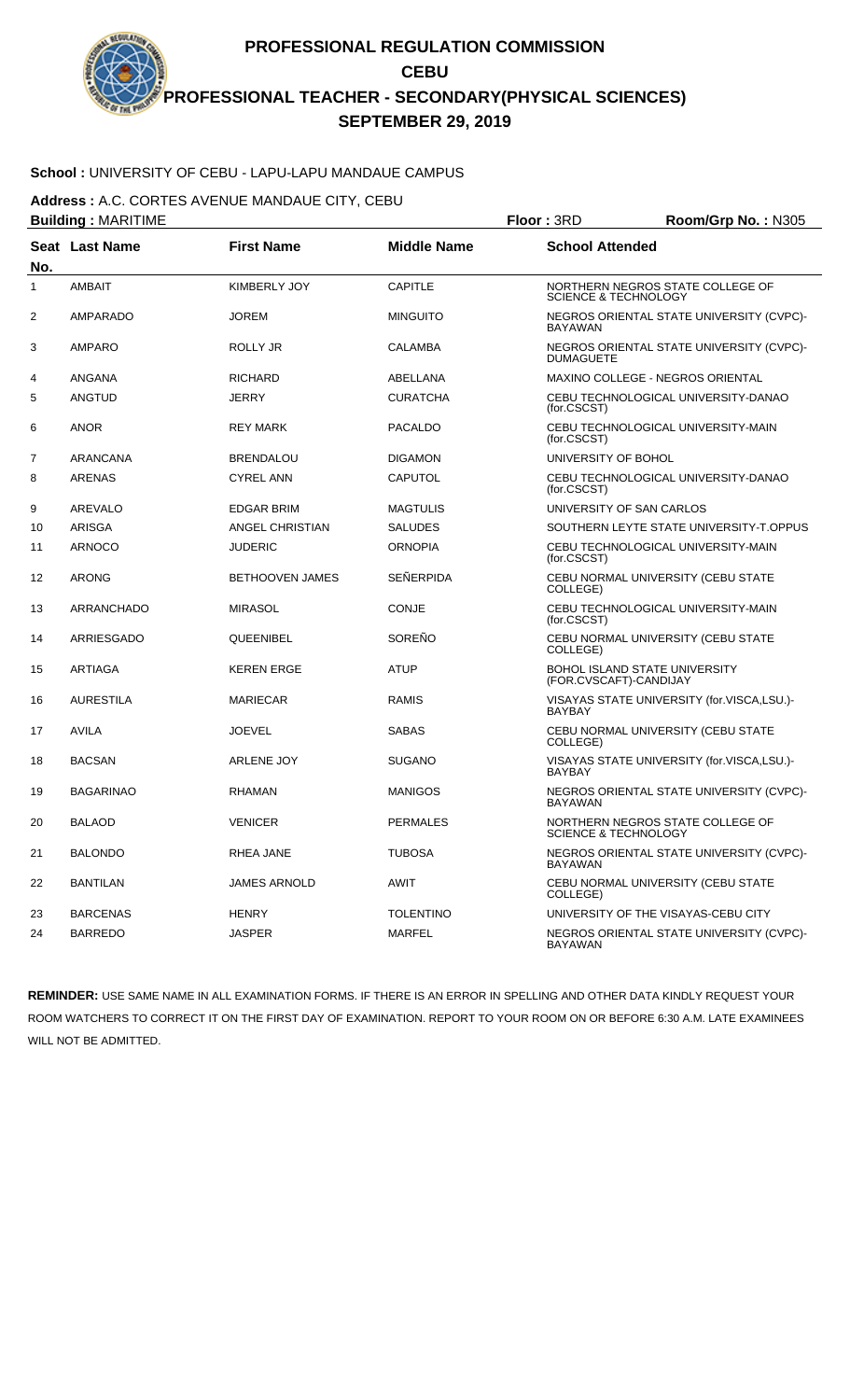# **School :** UNIVERSITY OF CEBU - LAPU-LAPU MANDAUE CAMPUS

**Address :** A.C. CORTES AVENUE MANDAUE CITY, CEBU

| <b>Building: MARITIME</b> |                       |                        |                    | Floor: 3RD<br>Room/Grp No.: N305                               |                                            |  |
|---------------------------|-----------------------|------------------------|--------------------|----------------------------------------------------------------|--------------------------------------------|--|
| No.                       | <b>Seat Last Name</b> | <b>First Name</b>      | <b>Middle Name</b> | <b>School Attended</b>                                         |                                            |  |
| 1                         | <b>AMBAIT</b>         | <b>KIMBERLY JOY</b>    | <b>CAPITLE</b>     | <b>SCIENCE &amp; TECHNOLOGY</b>                                | NORTHERN NEGROS STATE COLLEGE OF           |  |
| 2                         | <b>AMPARADO</b>       | <b>JOREM</b>           | <b>MINGUITO</b>    | <b>BAYAWAN</b>                                                 | NEGROS ORIENTAL STATE UNIVERSITY (CVPC)-   |  |
| 3                         | AMPARO                | ROLLY JR               | <b>CALAMBA</b>     | <b>DUMAGUETE</b>                                               | NEGROS ORIENTAL STATE UNIVERSITY (CVPC)-   |  |
| 4                         | ANGANA                | <b>RICHARD</b>         | ABELLANA           |                                                                | MAXINO COLLEGE - NEGROS ORIENTAL           |  |
| 5                         | ANGTUD                | JERRY                  | <b>CURATCHA</b>    | (for.CSCST)                                                    | CEBU TECHNOLOGICAL UNIVERSITY-DANAO        |  |
| 6                         | <b>ANOR</b>           | <b>REY MARK</b>        | <b>PACALDO</b>     | (for.CSCST)                                                    | CEBU TECHNOLOGICAL UNIVERSITY-MAIN         |  |
| $\overline{7}$            | ARANCANA              | <b>BRENDALOU</b>       | <b>DIGAMON</b>     | UNIVERSITY OF BOHOL                                            |                                            |  |
| 8                         | <b>ARENAS</b>         | <b>CYREL ANN</b>       | CAPUTOL            | (for.CSCST)                                                    | CEBU TECHNOLOGICAL UNIVERSITY-DANAO        |  |
| 9                         | AREVALO               | <b>EDGAR BRIM</b>      | <b>MAGTULIS</b>    | UNIVERSITY OF SAN CARLOS                                       |                                            |  |
| 10                        | ARISGA                | ANGEL CHRISTIAN        | <b>SALUDES</b>     |                                                                | SOUTHERN LEYTE STATE UNIVERSITY-T.OPPUS    |  |
| 11                        | <b>ARNOCO</b>         | <b>JUDERIC</b>         | <b>ORNOPIA</b>     | (for.CSCST)                                                    | CEBU TECHNOLOGICAL UNIVERSITY-MAIN         |  |
| 12                        | <b>ARONG</b>          | <b>BETHOOVEN JAMES</b> | <b>SEÑERPIDA</b>   | COLLEGE)                                                       | CEBU NORMAL UNIVERSITY (CEBU STATE         |  |
| 13                        | <b>ARRANCHADO</b>     | <b>MIRASOL</b>         | <b>CONJE</b>       | (for.CSCST)                                                    | CEBU TECHNOLOGICAL UNIVERSITY-MAIN         |  |
| 14                        | ARRIESGADO            | QUEENIBEL              | SOREÑO             | COLLEGE)                                                       | CEBU NORMAL UNIVERSITY (CEBU STATE         |  |
| 15                        | <b>ARTIAGA</b>        | <b>KEREN ERGE</b>      | <b>ATUP</b>        | <b>BOHOL ISLAND STATE UNIVERSITY</b><br>(FOR.CVSCAFT)-CANDIJAY |                                            |  |
| 16                        | <b>AURESTILA</b>      | <b>MARIECAR</b>        | <b>RAMIS</b>       | <b>BAYBAY</b>                                                  | VISAYAS STATE UNIVERSITY (for.VISCA,LSU.)- |  |
| 17                        | AVILA                 | <b>JOEVEL</b>          | SABAS              | COLLEGE)                                                       | CEBU NORMAL UNIVERSITY (CEBU STATE         |  |
| 18                        | <b>BACSAN</b>         | <b>ARLENE JOY</b>      | <b>SUGANO</b>      | <b>BAYBAY</b>                                                  | VISAYAS STATE UNIVERSITY (for.VISCA,LSU.)- |  |
| 19                        | <b>BAGARINAO</b>      | <b>RHAMAN</b>          | <b>MANIGOS</b>     | <b>BAYAWAN</b>                                                 | NEGROS ORIENTAL STATE UNIVERSITY (CVPC)-   |  |
| 20                        | <b>BALAOD</b>         | <b>VENICER</b>         | <b>PERMALES</b>    | <b>SCIENCE &amp; TECHNOLOGY</b>                                | NORTHERN NEGROS STATE COLLEGE OF           |  |
| 21                        | <b>BALONDO</b>        | RHEA JANE              | <b>TUBOSA</b>      | BAYAWAN                                                        | NEGROS ORIENTAL STATE UNIVERSITY (CVPC)-   |  |
| 22                        | <b>BANTILAN</b>       | JAMES ARNOLD           | AWIT               | COLLEGE)                                                       | CEBU NORMAL UNIVERSITY (CEBU STATE         |  |
| 23                        | <b>BARCENAS</b>       | <b>HENRY</b>           | <b>TOLENTINO</b>   |                                                                | UNIVERSITY OF THE VISAYAS-CEBU CITY        |  |
| 24                        | <b>BARREDO</b>        | <b>JASPER</b>          | <b>MARFEL</b>      | BAYAWAN                                                        | NEGROS ORIENTAL STATE UNIVERSITY (CVPC)-   |  |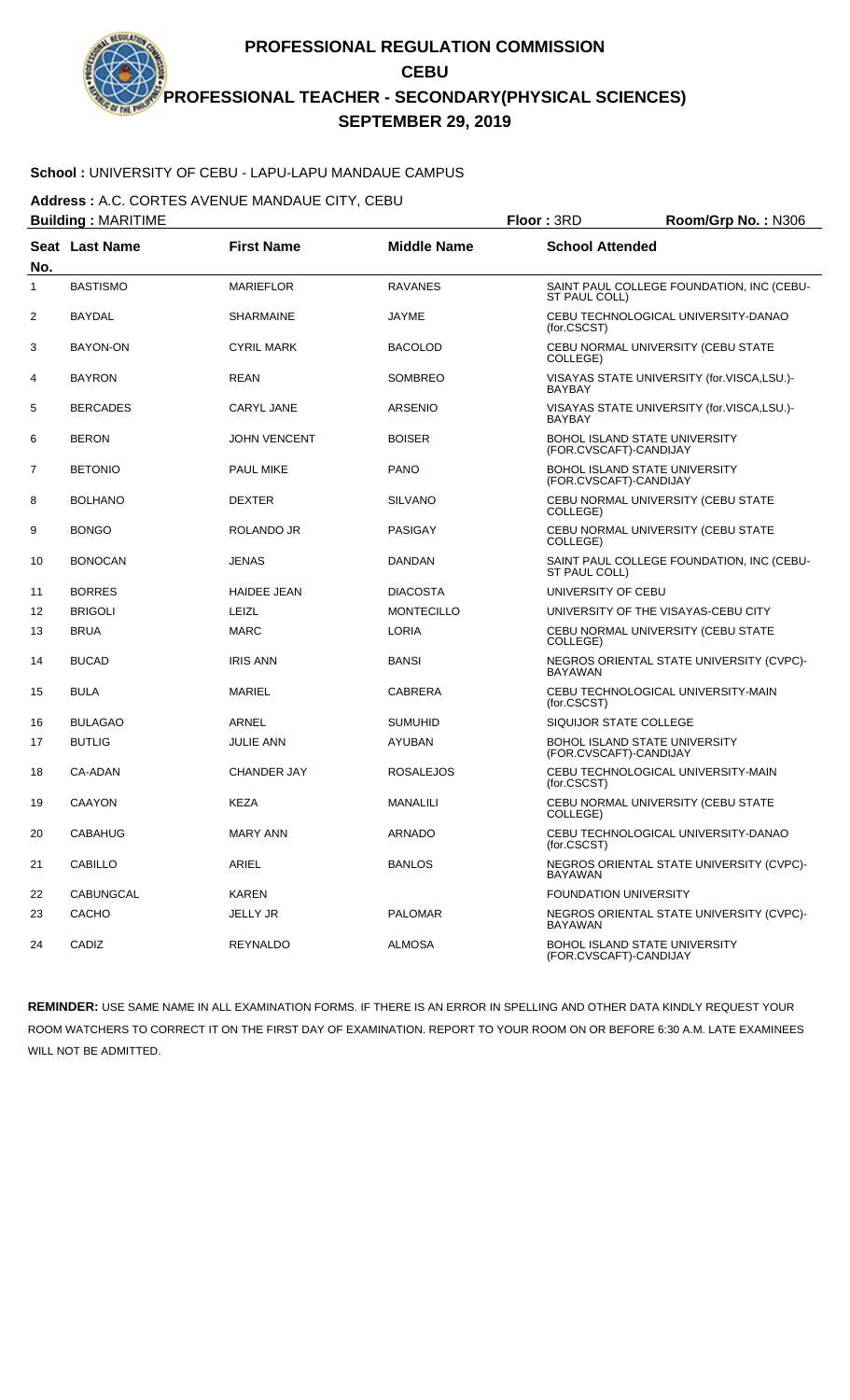# **School :** UNIVERSITY OF CEBU - LAPU-LAPU MANDAUE CAMPUS

**Address :** A.C. CORTES AVENUE MANDAUE CITY, CEBU

|     | <b>Building: MARITIME</b> |                     |                    | Floor: 3RD<br>Room/Grp No.: N306                               |  |  |
|-----|---------------------------|---------------------|--------------------|----------------------------------------------------------------|--|--|
| No. | <b>Seat Last Name</b>     | <b>First Name</b>   | <b>Middle Name</b> | <b>School Attended</b>                                         |  |  |
| 1   | <b>BASTISMO</b>           | <b>MARIEFLOR</b>    | <b>RAVANES</b>     | SAINT PAUL COLLEGE FOUNDATION. INC (CEBU-<br>ST PAUL COLL)     |  |  |
| 2   | <b>BAYDAL</b>             | <b>SHARMAINE</b>    | <b>JAYME</b>       | CEBU TECHNOLOGICAL UNIVERSITY-DANAO<br>(for.CSCST)             |  |  |
| 3   | BAYON-ON                  | <b>CYRIL MARK</b>   | <b>BACOLOD</b>     | CEBU NORMAL UNIVERSITY (CEBU STATE<br>COLLEGE)                 |  |  |
| 4   | <b>BAYRON</b>             | <b>REAN</b>         | <b>SOMBREO</b>     | VISAYAS STATE UNIVERSITY (for.VISCA,LSU.)-<br><b>BAYBAY</b>    |  |  |
| 5   | <b>BERCADES</b>           | CARYL JANE          | <b>ARSENIO</b>     | VISAYAS STATE UNIVERSITY (for.VISCA,LSU.)-<br><b>BAYBAY</b>    |  |  |
| 6   | <b>BERON</b>              | <b>JOHN VENCENT</b> | <b>BOISER</b>      | BOHOL ISLAND STATE UNIVERSITY<br>(FOR.CVSCAFT)-CANDIJAY        |  |  |
| 7   | <b>BETONIO</b>            | <b>PAUL MIKE</b>    | <b>PANO</b>        | BOHOL ISLAND STATE UNIVERSITY<br>(FOR.CVSCAFT)-CANDIJAY        |  |  |
| 8   | <b>BOLHANO</b>            | <b>DEXTER</b>       | <b>SILVANO</b>     | CEBU NORMAL UNIVERSITY (CEBU STATE<br>COLLEGE)                 |  |  |
| 9   | <b>BONGO</b>              | ROLANDO JR          | <b>PASIGAY</b>     | CEBU NORMAL UNIVERSITY (CEBU STATE<br>COLLEGE)                 |  |  |
| 10  | <b>BONOCAN</b>            | <b>JENAS</b>        | DANDAN             | SAINT PAUL COLLEGE FOUNDATION, INC (CEBU-<br>ST PAUL COLL)     |  |  |
| 11  | <b>BORRES</b>             | <b>HAIDEE JEAN</b>  | <b>DIACOSTA</b>    | UNIVERSITY OF CEBU                                             |  |  |
| 12  | <b>BRIGOLI</b>            | <b>LEIZL</b>        | <b>MONTECILLO</b>  | UNIVERSITY OF THE VISAYAS-CEBU CITY                            |  |  |
| 13  | <b>BRUA</b>               | <b>MARC</b>         | LORIA              | CEBU NORMAL UNIVERSITY (CEBU STATE<br>COLLEGE)                 |  |  |
| 14  | <b>BUCAD</b>              | <b>IRIS ANN</b>     | <b>BANSI</b>       | NEGROS ORIENTAL STATE UNIVERSITY (CVPC)-<br><b>BAYAWAN</b>     |  |  |
| 15  | <b>BULA</b>               | <b>MARIEL</b>       | <b>CABRERA</b>     | CEBU TECHNOLOGICAL UNIVERSITY-MAIN<br>(for.CSCST)              |  |  |
| 16  | <b>BULAGAO</b>            | ARNEL               | <b>SUMUHID</b>     | SIQUIJOR STATE COLLEGE                                         |  |  |
| 17  | <b>BUTLIG</b>             | <b>JULIE ANN</b>    | AYUBAN             | BOHOL ISLAND STATE UNIVERSITY<br>(FOR.CVSCAFT)-CANDIJAY        |  |  |
| 18  | CA-ADAN                   | <b>CHANDER JAY</b>  | <b>ROSALEJOS</b>   | CEBU TECHNOLOGICAL UNIVERSITY-MAIN<br>(for.CSCST)              |  |  |
| 19  | <b>CAAYON</b>             | <b>KEZA</b>         | <b>MANALILI</b>    | CEBU NORMAL UNIVERSITY (CEBU STATE<br>COLLEGE)                 |  |  |
| 20  | CABAHUG                   | <b>MARY ANN</b>     | ARNADO             | CEBU TECHNOLOGICAL UNIVERSITY-DANAO<br>(for.CSCST)             |  |  |
| 21  | <b>CABILLO</b>            | ARIEL               | <b>BANLOS</b>      | NEGROS ORIENTAL STATE UNIVERSITY (CVPC)-<br><b>BAYAWAN</b>     |  |  |
| 22  | CABUNGCAL                 | <b>KAREN</b>        |                    | <b>FOUNDATION UNIVERSITY</b>                                   |  |  |
| 23  | CACHO                     | <b>JELLY JR</b>     | <b>PALOMAR</b>     | NEGROS ORIENTAL STATE UNIVERSITY (CVPC)-<br><b>BAYAWAN</b>     |  |  |
| 24  | CADIZ                     | <b>REYNALDO</b>     | <b>ALMOSA</b>      | <b>BOHOL ISLAND STATE UNIVERSITY</b><br>(FOR.CVSCAFT)-CANDIJAY |  |  |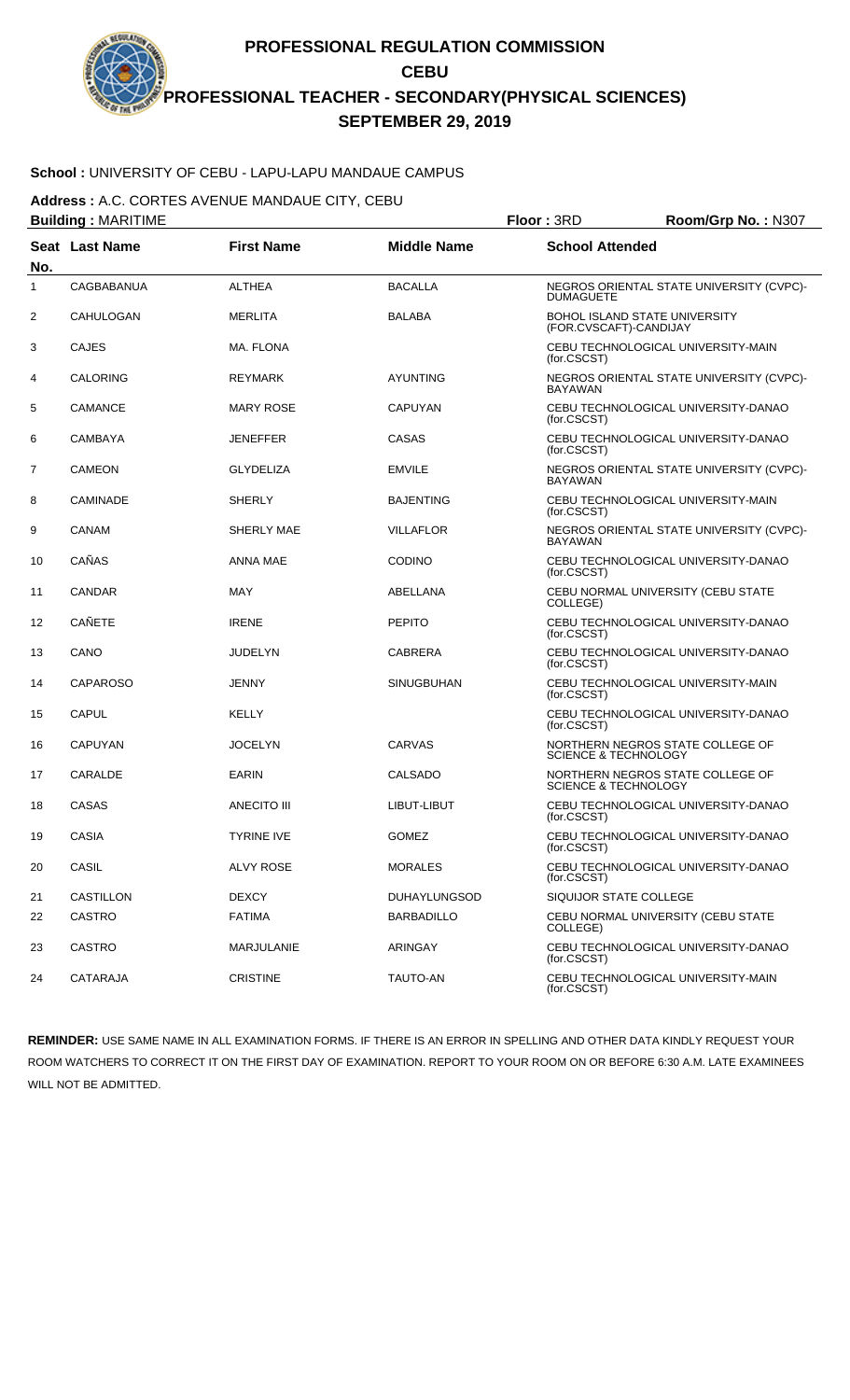# **School :** UNIVERSITY OF CEBU - LAPU-LAPU MANDAUE CAMPUS

**Address :** A.C. CORTES AVENUE MANDAUE CITY, CEBU

| <b>Building: MARITIME</b> |                  |                   |                     | Floor: 3RD                                              | Room/Grp No.: N307                       |
|---------------------------|------------------|-------------------|---------------------|---------------------------------------------------------|------------------------------------------|
| No.                       | Seat Last Name   | <b>First Name</b> | <b>Middle Name</b>  | <b>School Attended</b>                                  |                                          |
| 1                         | CAGBABANUA       | <b>ALTHEA</b>     | <b>BACALLA</b>      | <b>DUMAGUETE</b>                                        | NEGROS ORIENTAL STATE UNIVERSITY (CVPC)- |
| 2                         | CAHULOGAN        | <b>MERLITA</b>    | <b>BALABA</b>       | BOHOL ISLAND STATE UNIVERSITY<br>(FOR.CVSCAFT)-CANDIJAY |                                          |
| 3                         | <b>CAJES</b>     | <b>MA. FLONA</b>  |                     | (for.CSCST)                                             | CEBU TECHNOLOGICAL UNIVERSITY-MAIN       |
| 4                         | CALORING         | <b>REYMARK</b>    | <b>AYUNTING</b>     | <b>BAYAWAN</b>                                          | NEGROS ORIENTAL STATE UNIVERSITY (CVPC)- |
| 5                         | CAMANCE          | <b>MARY ROSE</b>  | CAPUYAN             | (for.CSCST)                                             | CEBU TECHNOLOGICAL UNIVERSITY-DANAO      |
| 6                         | CAMBAYA          | JENEFFER          | CASAS               | (for.CSCST)                                             | CEBU TECHNOLOGICAL UNIVERSITY-DANAO      |
| 7                         | <b>CAMEON</b>    | <b>GLYDELIZA</b>  | <b>EMVILE</b>       | <b>BAYAWAN</b>                                          | NEGROS ORIENTAL STATE UNIVERSITY (CVPC)- |
| 8                         | CAMINADE         | <b>SHERLY</b>     | <b>BAJENTING</b>    | (for.CSCST)                                             | CEBU TECHNOLOGICAL UNIVERSITY-MAIN       |
| 9                         | CANAM            | SHERLY MAE        | <b>VILLAFLOR</b>    | <b>BAYAWAN</b>                                          | NEGROS ORIENTAL STATE UNIVERSITY (CVPC)- |
| 10                        | CAÑAS            | ANNA MAE          | <b>CODINO</b>       | (for.CSCST)                                             | CEBU TECHNOLOGICAL UNIVERSITY-DANAO      |
| 11                        | <b>CANDAR</b>    | MAY               | ABELLANA            | COLLEGE)                                                | CEBU NORMAL UNIVERSITY (CEBU STATE       |
| 12                        | <b>CAÑETE</b>    | <b>IRENE</b>      | <b>PEPITO</b>       | (for.CSCST)                                             | CEBU TECHNOLOGICAL UNIVERSITY-DANAO      |
| 13                        | CANO             | JUDELYN           | CABRERA             | (for.CSCST)                                             | CEBU TECHNOLOGICAL UNIVERSITY-DANAO      |
| 14                        | <b>CAPAROSO</b>  | JENNY             | <b>SINUGBUHAN</b>   | (for.CSCST)                                             | CEBU TECHNOLOGICAL UNIVERSITY-MAIN       |
| 15                        | <b>CAPUL</b>     | KELLY             |                     | (for.CSCST)                                             | CEBU TECHNOLOGICAL UNIVERSITY-DANAO      |
| 16                        | <b>CAPUYAN</b>   | <b>JOCELYN</b>    | CARVAS              | <b>SCIENCE &amp; TECHNOLOGY</b>                         | NORTHERN NEGROS STATE COLLEGE OF         |
| 17                        | CARALDE          | <b>EARIN</b>      | <b>CALSADO</b>      | <b>SCIENCE &amp; TECHNOLOGY</b>                         | NORTHERN NEGROS STATE COLLEGE OF         |
| 18                        | CASAS            | ANECITO III       | LIBUT-LIBUT         | (for.CSCST)                                             | CEBU TECHNOLOGICAL UNIVERSITY-DANAO      |
| 19                        | <b>CASIA</b>     | <b>TYRINE IVE</b> | <b>GOMEZ</b>        | (for.CSCST)                                             | CEBU TECHNOLOGICAL UNIVERSITY-DANAO      |
| 20                        | CASIL            | <b>ALVY ROSE</b>  | <b>MORALES</b>      | (for.CSCST)                                             | CEBU TECHNOLOGICAL UNIVERSITY-DANAO      |
| 21                        | <b>CASTILLON</b> | <b>DEXCY</b>      | <b>DUHAYLUNGSOD</b> | SIQUIJOR STATE COLLEGE                                  |                                          |
| 22                        | <b>CASTRO</b>    | <b>FATIMA</b>     | <b>BARBADILLO</b>   | COLLEGE)                                                | CEBU NORMAL UNIVERSITY (CEBU STATE       |
| 23                        | <b>CASTRO</b>    | MARJULANIE        | ARINGAY             | (for.CSCST)                                             | CEBU TECHNOLOGICAL UNIVERSITY-DANAO      |
| 24                        | CATARAJA         | <b>CRISTINE</b>   | <b>TAUTO-AN</b>     | (for.CSCST)                                             | CEBU TECHNOLOGICAL UNIVERSITY-MAIN       |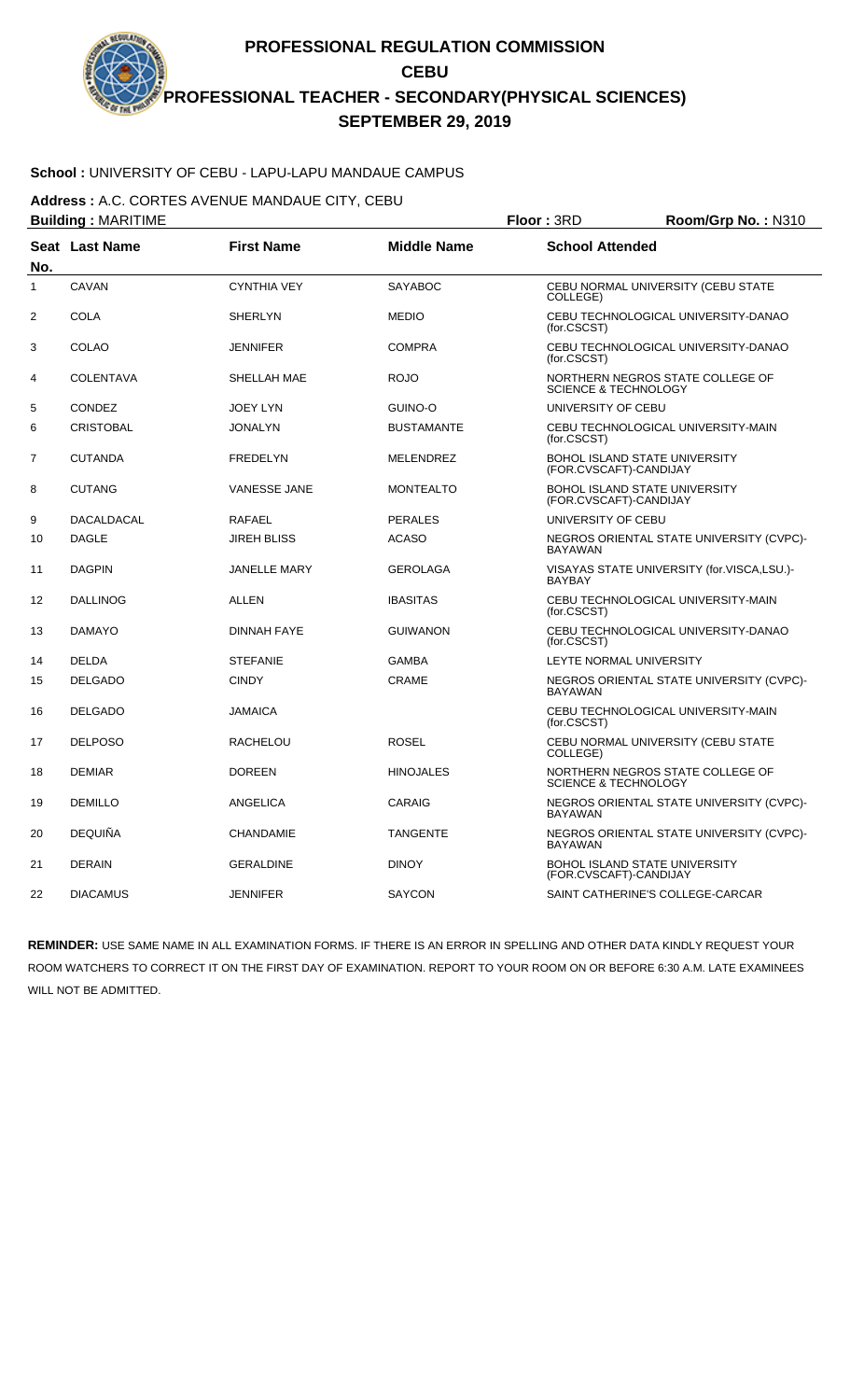## **School :** UNIVERSITY OF CEBU - LAPU-LAPU MANDAUE CAMPUS

**Address :** A.C. CORTES AVENUE MANDAUE CITY, CEBU

| <b>Building: MARITIME</b> |                       |                     | Floor: 3RD         | Room/Grp No.: N310              |                                            |
|---------------------------|-----------------------|---------------------|--------------------|---------------------------------|--------------------------------------------|
| No.                       | <b>Seat Last Name</b> | <b>First Name</b>   | <b>Middle Name</b> | <b>School Attended</b>          |                                            |
| $\mathbf{1}$              | CAVAN                 | <b>CYNTHIA VEY</b>  | <b>SAYABOC</b>     | COLLEGE)                        | CEBU NORMAL UNIVERSITY (CEBU STATE         |
| $\overline{2}$            | <b>COLA</b>           | <b>SHERLYN</b>      | <b>MEDIO</b>       | (for.CSCST)                     | CEBU TECHNOLOGICAL UNIVERSITY-DANAO        |
| 3                         | COLAO                 | <b>JENNIFER</b>     | <b>COMPRA</b>      | (for.CSCST)                     | CEBU TECHNOLOGICAL UNIVERSITY-DANAO        |
| 4                         | <b>COLENTAVA</b>      | SHELLAH MAE         | <b>ROJO</b>        | <b>SCIENCE &amp; TECHNOLOGY</b> | NORTHERN NEGROS STATE COLLEGE OF           |
| 5                         | CONDEZ                | <b>JOEY LYN</b>     | <b>GUINO-O</b>     | UNIVERSITY OF CEBU              |                                            |
| 6                         | <b>CRISTOBAL</b>      | <b>JONALYN</b>      | <b>BUSTAMANTE</b>  | (for.CSCST)                     | CEBU TECHNOLOGICAL UNIVERSITY-MAIN         |
| 7                         | <b>CUTANDA</b>        | <b>FREDELYN</b>     | <b>MELENDREZ</b>   | (FOR.CVSCAFT)-CANDIJAY          | BOHOL ISLAND STATE UNIVERSITY              |
| 8                         | <b>CUTANG</b>         | <b>VANESSE JANE</b> | MONTEALTO          | (FOR.CVSCAFT)-CANDIJAY          | <b>BOHOL ISLAND STATE UNIVERSITY</b>       |
| 9                         | <b>DACALDACAL</b>     | <b>RAFAEL</b>       | <b>PERALES</b>     | UNIVERSITY OF CEBU              |                                            |
| 10                        | <b>DAGLE</b>          | <b>JIREH BLISS</b>  | <b>ACASO</b>       | <b>BAYAWAN</b>                  | NEGROS ORIENTAL STATE UNIVERSITY (CVPC)-   |
| 11                        | <b>DAGPIN</b>         | <b>JANELLE MARY</b> | <b>GEROLAGA</b>    | <b>BAYBAY</b>                   | VISAYAS STATE UNIVERSITY (for.VISCA,LSU.)- |
| 12                        | <b>DALLINOG</b>       | ALLEN               | <b>IBASITAS</b>    | (for.CSCST)                     | CEBU TECHNOLOGICAL UNIVERSITY-MAIN         |
| 13                        | <b>DAMAYO</b>         | <b>DINNAH FAYE</b>  | <b>GUIWANON</b>    | (for.CSCST)                     | CEBU TECHNOLOGICAL UNIVERSITY-DANAO        |
| 14                        | <b>DELDA</b>          | <b>STEFANIE</b>     | <b>GAMBA</b>       | LEYTE NORMAL UNIVERSITY         |                                            |
| 15                        | <b>DELGADO</b>        | <b>CINDY</b>        | <b>CRAME</b>       | <b>BAYAWAN</b>                  | NEGROS ORIENTAL STATE UNIVERSITY (CVPC)-   |
| 16                        | <b>DELGADO</b>        | <b>JAMAICA</b>      |                    | (for.CSCST)                     | CEBU TECHNOLOGICAL UNIVERSITY-MAIN         |
| 17                        | <b>DELPOSO</b>        | RACHELOU            | <b>ROSEL</b>       | COLLEGE)                        | CEBU NORMAL UNIVERSITY (CEBU STATE         |
| 18                        | <b>DEMIAR</b>         | <b>DOREEN</b>       | <b>HINOJALES</b>   | <b>SCIENCE &amp; TECHNOLOGY</b> | NORTHERN NEGROS STATE COLLEGE OF           |
| 19                        | <b>DEMILLO</b>        | ANGELICA            | CARAIG             | <b>BAYAWAN</b>                  | NEGROS ORIENTAL STATE UNIVERSITY (CVPC)-   |
| 20                        | <b>DEQUIÑA</b>        | <b>CHANDAMIE</b>    | <b>TANGENTE</b>    | <b>BAYAWAN</b>                  | NEGROS ORIENTAL STATE UNIVERSITY (CVPC)-   |
| 21                        | <b>DERAIN</b>         | <b>GERALDINE</b>    | <b>DINOY</b>       | (FOR.CVSCAFT)-CANDIJAY          | BOHOL ISLAND STATE UNIVERSITY              |
| 22                        | <b>DIACAMUS</b>       | <b>JENNIFER</b>     | <b>SAYCON</b>      |                                 | SAINT CATHERINE'S COLLEGE-CARCAR           |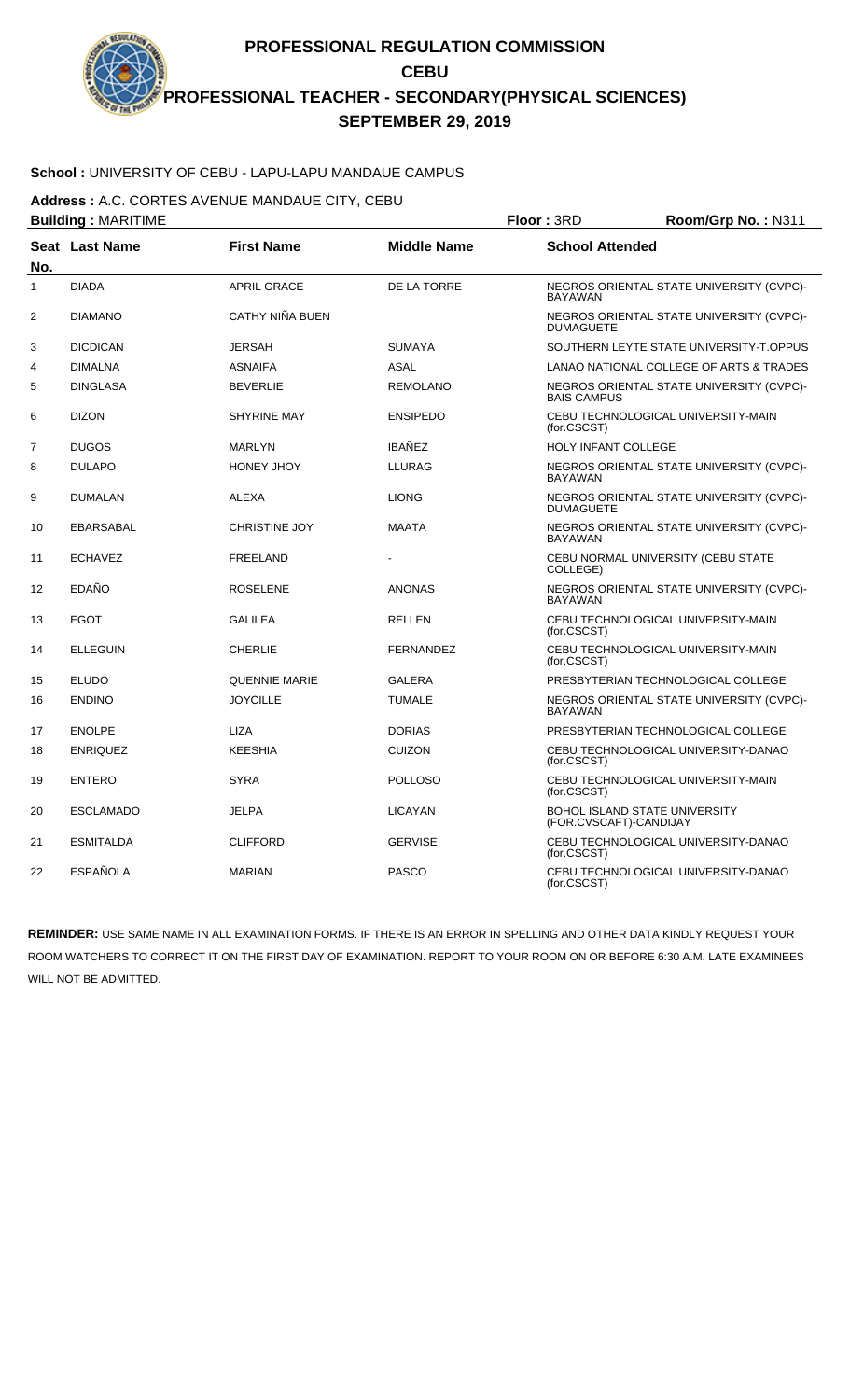## **School :** UNIVERSITY OF CEBU - LAPU-LAPU MANDAUE CAMPUS

**Address :** A.C. CORTES AVENUE MANDAUE CITY, CEBU

| <b>Building: MARITIME</b> |                  |                      |                    | Floor: 3RD                 | Room/Grp No.: N311                       |
|---------------------------|------------------|----------------------|--------------------|----------------------------|------------------------------------------|
| No.                       | Seat Last Name   | <b>First Name</b>    | <b>Middle Name</b> | <b>School Attended</b>     |                                          |
| $\mathbf{1}$              | <b>DIADA</b>     | <b>APRIL GRACE</b>   | DE LA TORRE        | <b>BAYAWAN</b>             | NEGROS ORIENTAL STATE UNIVERSITY (CVPC)- |
| $\overline{2}$            | <b>DIAMANO</b>   | CATHY NIÑA BUEN      |                    | <b>DUMAGUETE</b>           | NEGROS ORIENTAL STATE UNIVERSITY (CVPC)- |
| 3                         | <b>DICDICAN</b>  | <b>JERSAH</b>        | <b>SUMAYA</b>      |                            | SOUTHERN LEYTE STATE UNIVERSITY-T.OPPUS  |
| 4                         | <b>DIMALNA</b>   | <b>ASNAIFA</b>       | <b>ASAL</b>        |                            | LANAO NATIONAL COLLEGE OF ARTS & TRADES  |
| 5                         | <b>DINGLASA</b>  | <b>BEVERLIE</b>      | <b>REMOLANO</b>    | <b>BAIS CAMPUS</b>         | NEGROS ORIENTAL STATE UNIVERSITY (CVPC)- |
| 6                         | <b>DIZON</b>     | <b>SHYRINE MAY</b>   | <b>ENSIPEDO</b>    | (for.CSCST)                | CEBU TECHNOLOGICAL UNIVERSITY-MAIN       |
| $\overline{7}$            | <b>DUGOS</b>     | <b>MARLYN</b>        | <b>IBAÑEZ</b>      | <b>HOLY INFANT COLLEGE</b> |                                          |
| 8                         | <b>DULAPO</b>    | HONEY JHOY           | <b>LLURAG</b>      | <b>BAYAWAN</b>             | NEGROS ORIENTAL STATE UNIVERSITY (CVPC)- |
| 9                         | <b>DUMALAN</b>   | <b>ALEXA</b>         | <b>LIONG</b>       | <b>DUMAGUETE</b>           | NEGROS ORIENTAL STATE UNIVERSITY (CVPC)- |
| 10                        | <b>EBARSABAL</b> | <b>CHRISTINE JOY</b> | <b>MAATA</b>       | <b>BAYAWAN</b>             | NEGROS ORIENTAL STATE UNIVERSITY (CVPC)- |
| 11                        | <b>ECHAVEZ</b>   | <b>FREELAND</b>      |                    | COLLEGE)                   | CEBU NORMAL UNIVERSITY (CEBU STATE       |
| 12                        | EDAÑO            | <b>ROSELENE</b>      | <b>ANONAS</b>      | <b>BAYAWAN</b>             | NEGROS ORIENTAL STATE UNIVERSITY (CVPC)- |
| 13                        | <b>EGOT</b>      | <b>GALILEA</b>       | <b>RELLEN</b>      | (for.CSCST)                | CEBU TECHNOLOGICAL UNIVERSITY-MAIN       |
| 14                        | <b>ELLEGUIN</b>  | <b>CHERLIE</b>       | <b>FERNANDEZ</b>   | (for.CSCST)                | CEBU TECHNOLOGICAL UNIVERSITY-MAIN       |
| 15                        | <b>ELUDO</b>     | <b>QUENNIE MARIE</b> | <b>GALERA</b>      |                            | PRESBYTERIAN TECHNOLOGICAL COLLEGE       |
| 16                        | <b>ENDINO</b>    | <b>JOYCILLE</b>      | <b>TUMALE</b>      | <b>BAYAWAN</b>             | NEGROS ORIENTAL STATE UNIVERSITY (CVPC)- |
| 17                        | <b>ENOLPE</b>    | <b>LIZA</b>          | <b>DORIAS</b>      |                            | PRESBYTERIAN TECHNOLOGICAL COLLEGE       |
| 18                        | <b>ENRIQUEZ</b>  | <b>KEESHIA</b>       | <b>CUIZON</b>      | (for.CSCST)                | CEBU TECHNOLOGICAL UNIVERSITY-DANAO      |
| 19                        | <b>ENTERO</b>    | <b>SYRA</b>          | <b>POLLOSO</b>     | (for.CSCST)                | CEBU TECHNOLOGICAL UNIVERSITY-MAIN       |
| 20                        | <b>ESCLAMADO</b> | <b>JELPA</b>         | <b>LICAYAN</b>     | (FOR.CVSCAFT)-CANDIJAY     | <b>BOHOL ISLAND STATE UNIVERSITY</b>     |
| 21                        | <b>ESMITALDA</b> | <b>CLIFFORD</b>      | <b>GERVISE</b>     | (for.CSCST)                | CEBU TECHNOLOGICAL UNIVERSITY-DANAO      |
| 22                        | <b>ESPAÑOLA</b>  | <b>MARIAN</b>        | <b>PASCO</b>       | (for.CSCST)                | CEBU TECHNOLOGICAL UNIVERSITY-DANAO      |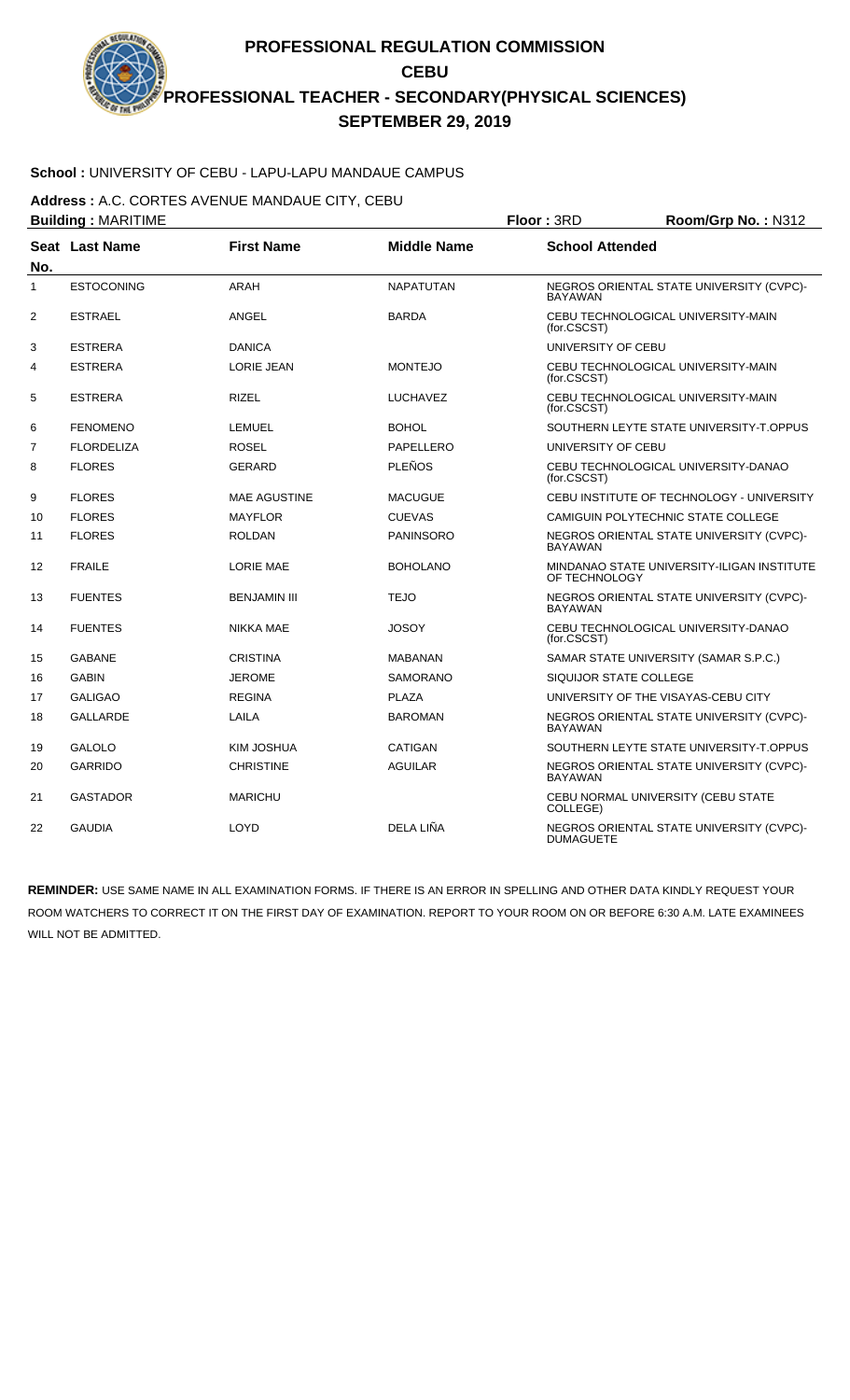## **School :** UNIVERSITY OF CEBU - LAPU-LAPU MANDAUE CAMPUS

**Address :** A.C. CORTES AVENUE MANDAUE CITY, CEBU

| <b>Building: MARITIME</b> |                       |                     | Floor: 3RD         | Room/Grp No.: N312     |                                            |  |
|---------------------------|-----------------------|---------------------|--------------------|------------------------|--------------------------------------------|--|
| No.                       | <b>Seat Last Name</b> | <b>First Name</b>   | <b>Middle Name</b> | <b>School Attended</b> |                                            |  |
| $\mathbf{1}$              | <b>ESTOCONING</b>     | ARAH                | <b>NAPATUTAN</b>   | <b>BAYAWAN</b>         | NEGROS ORIENTAL STATE UNIVERSITY (CVPC)-   |  |
| 2                         | <b>ESTRAEL</b>        | ANGEL               | <b>BARDA</b>       | (for.CSCST)            | CEBU TECHNOLOGICAL UNIVERSITY-MAIN         |  |
| 3                         | <b>ESTRERA</b>        | <b>DANICA</b>       |                    | UNIVERSITY OF CEBU     |                                            |  |
| 4                         | <b>ESTRERA</b>        | <b>LORIE JEAN</b>   | <b>MONTEJO</b>     | (for.CSCST)            | CEBU TECHNOLOGICAL UNIVERSITY-MAIN         |  |
| 5                         | <b>ESTRERA</b>        | <b>RIZEL</b>        | <b>LUCHAVEZ</b>    | (for.CSCST)            | CEBU TECHNOLOGICAL UNIVERSITY-MAIN         |  |
| 6                         | <b>FENOMENO</b>       | <b>LEMUEL</b>       | <b>BOHOL</b>       |                        | SOUTHERN LEYTE STATE UNIVERSITY-T.OPPUS    |  |
| 7                         | <b>FLORDELIZA</b>     | <b>ROSEL</b>        | PAPELLERO          | UNIVERSITY OF CEBU     |                                            |  |
| 8                         | <b>FLORES</b>         | <b>GERARD</b>       | <b>PLEÑOS</b>      | (for.CSCST)            | CEBU TECHNOLOGICAL UNIVERSITY-DANAO        |  |
| 9                         | <b>FLORES</b>         | <b>MAE AGUSTINE</b> | <b>MACUGUE</b>     |                        | CEBU INSTITUTE OF TECHNOLOGY - UNIVERSITY  |  |
| 10                        | <b>FLORES</b>         | <b>MAYFLOR</b>      | <b>CUEVAS</b>      |                        | CAMIGUIN POLYTECHNIC STATE COLLEGE         |  |
| 11                        | <b>FLORES</b>         | <b>ROLDAN</b>       | <b>PANINSORO</b>   | <b>BAYAWAN</b>         | NEGROS ORIENTAL STATE UNIVERSITY (CVPC)-   |  |
| 12                        | <b>FRAILE</b>         | <b>LORIE MAE</b>    | <b>BOHOLANO</b>    | OF TECHNOLOGY          | MINDANAO STATE UNIVERSITY-ILIGAN INSTITUTE |  |
| 13                        | <b>FUENTES</b>        | <b>BENJAMIN III</b> | <b>TEJO</b>        | <b>BAYAWAN</b>         | NEGROS ORIENTAL STATE UNIVERSITY (CVPC)-   |  |
| 14                        | <b>FUENTES</b>        | <b>NIKKA MAE</b>    | <b>JOSOY</b>       | (for.CSCST)            | CEBU TECHNOLOGICAL UNIVERSITY-DANAO        |  |
| 15                        | <b>GABANE</b>         | <b>CRISTINA</b>     | <b>MABANAN</b>     |                        | SAMAR STATE UNIVERSITY (SAMAR S.P.C.)      |  |
| 16                        | <b>GABIN</b>          | <b>JEROME</b>       | <b>SAMORANO</b>    | SIQUIJOR STATE COLLEGE |                                            |  |
| 17                        | <b>GALIGAO</b>        | <b>REGINA</b>       | <b>PLAZA</b>       |                        | UNIVERSITY OF THE VISAYAS-CEBU CITY        |  |
| 18                        | <b>GALLARDE</b>       | LAILA               | <b>BAROMAN</b>     | <b>BAYAWAN</b>         | NEGROS ORIENTAL STATE UNIVERSITY (CVPC)-   |  |
| 19                        | <b>GALOLO</b>         | KIM JOSHUA          | CATIGAN            |                        | SOUTHERN LEYTE STATE UNIVERSITY-T.OPPUS    |  |
| 20                        | <b>GARRIDO</b>        | <b>CHRISTINE</b>    | <b>AGUILAR</b>     | <b>BAYAWAN</b>         | NEGROS ORIENTAL STATE UNIVERSITY (CVPC)-   |  |
| 21                        | <b>GASTADOR</b>       | <b>MARICHU</b>      |                    | COLLEGE)               | CEBU NORMAL UNIVERSITY (CEBU STATE         |  |
| 22                        | <b>GAUDIA</b>         | LOYD                | DELA LIÑA          | <b>DUMAGUETE</b>       | NEGROS ORIENTAL STATE UNIVERSITY (CVPC)-   |  |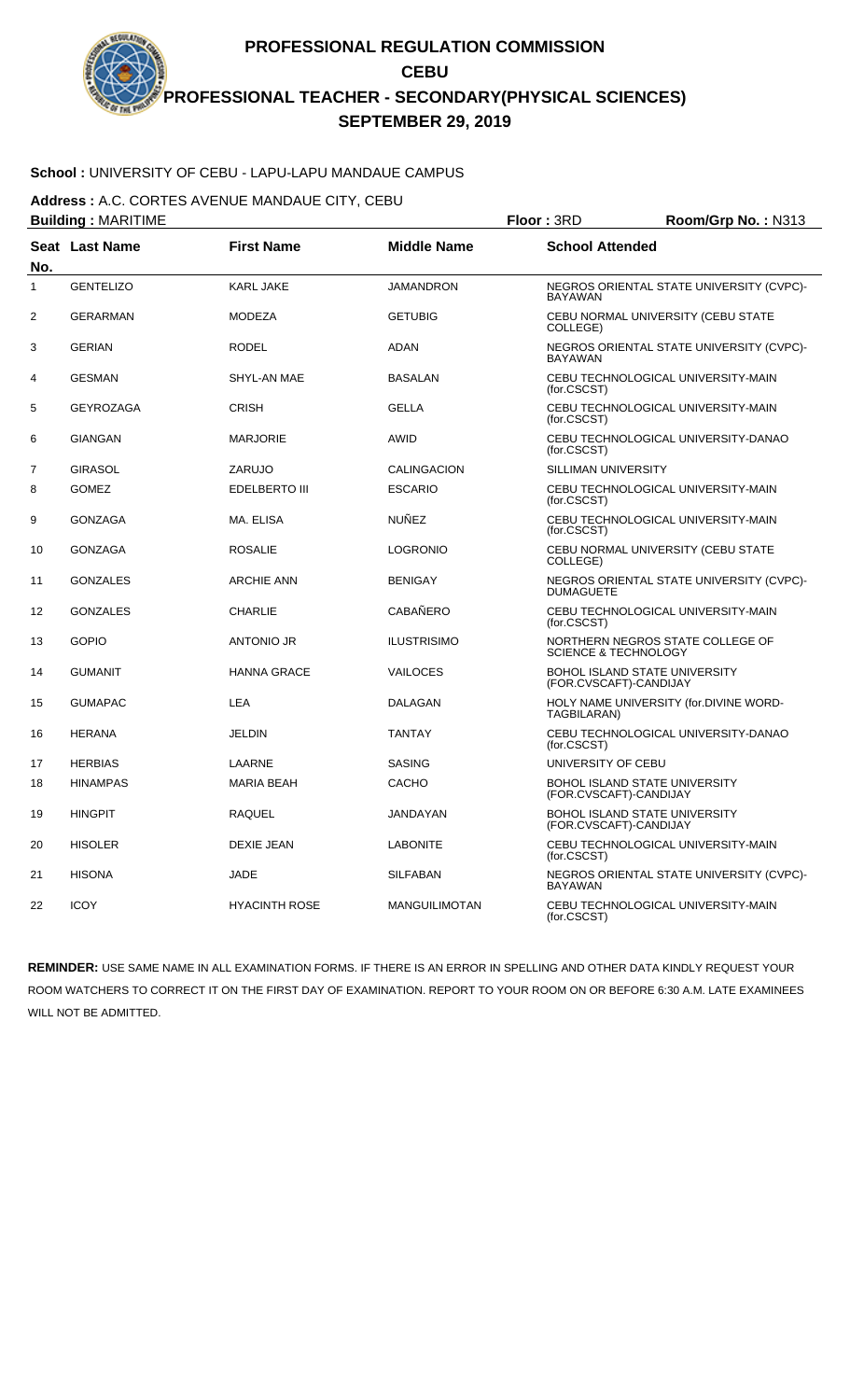# **School :** UNIVERSITY OF CEBU - LAPU-LAPU MANDAUE CAMPUS

**Address :** A.C. CORTES AVENUE MANDAUE CITY, CEBU

| <b>Building: MARITIME</b> |                  |                      | Floor: 3RD           | Room/Grp No.: N313              |                                          |
|---------------------------|------------------|----------------------|----------------------|---------------------------------|------------------------------------------|
| No.                       | Seat Last Name   | <b>First Name</b>    | <b>Middle Name</b>   | <b>School Attended</b>          |                                          |
| 1                         | <b>GENTELIZO</b> | KARL JAKE            | <b>JAMANDRON</b>     | <b>BAYAWAN</b>                  | NEGROS ORIENTAL STATE UNIVERSITY (CVPC)- |
| 2                         | <b>GERARMAN</b>  | <b>MODEZA</b>        | <b>GETUBIG</b>       | COLLEGE)                        | CEBU NORMAL UNIVERSITY (CEBU STATE       |
| 3                         | <b>GERIAN</b>    | <b>RODEL</b>         | <b>ADAN</b>          | <b>BAYAWAN</b>                  | NEGROS ORIENTAL STATE UNIVERSITY (CVPC)- |
| 4                         | <b>GESMAN</b>    | SHYL-AN MAE          | <b>BASALAN</b>       | (for.CSCST)                     | CEBU TECHNOLOGICAL UNIVERSITY-MAIN       |
| 5                         | <b>GEYROZAGA</b> | <b>CRISH</b>         | <b>GELLA</b>         | (for.CSCST)                     | CEBU TECHNOLOGICAL UNIVERSITY-MAIN       |
| 6                         | <b>GIANGAN</b>   | <b>MARJORIE</b>      | <b>AWID</b>          | (for.CSCST)                     | CEBU TECHNOLOGICAL UNIVERSITY-DANAO      |
| $\overline{7}$            | <b>GIRASOL</b>   | ZARUJO               | CALINGACION          | SILLIMAN UNIVERSITY             |                                          |
| 8                         | <b>GOMEZ</b>     | <b>EDELBERTO III</b> | <b>ESCARIO</b>       | (for.CSCST)                     | CEBU TECHNOLOGICAL UNIVERSITY-MAIN       |
| 9                         | <b>GONZAGA</b>   | MA. ELISA            | <b>NUÑEZ</b>         | (for.CSCST)                     | CEBU TECHNOLOGICAL UNIVERSITY-MAIN       |
| 10                        | <b>GONZAGA</b>   | <b>ROSALIE</b>       | <b>LOGRONIO</b>      | COLLEGE)                        | CEBU NORMAL UNIVERSITY (CEBU STATE       |
| 11                        | <b>GONZALES</b>  | <b>ARCHIE ANN</b>    | <b>BENIGAY</b>       | <b>DUMAGUETE</b>                | NEGROS ORIENTAL STATE UNIVERSITY (CVPC)- |
| 12                        | <b>GONZALES</b>  | <b>CHARLIE</b>       | <b>CABAÑERO</b>      | (for.CSCST)                     | CEBU TECHNOLOGICAL UNIVERSITY-MAIN       |
| 13                        | <b>GOPIO</b>     | <b>ANTONIO JR</b>    | <b>ILUSTRISIMO</b>   | <b>SCIENCE &amp; TECHNOLOGY</b> | NORTHERN NEGROS STATE COLLEGE OF         |
| 14                        | <b>GUMANIT</b>   | <b>HANNA GRACE</b>   | VAILOCES             | (FOR.CVSCAFT)-CANDIJAY          | <b>BOHOL ISLAND STATE UNIVERSITY</b>     |
| 15                        | <b>GUMAPAC</b>   | <b>LEA</b>           | <b>DALAGAN</b>       | TAGBILARAN)                     | HOLY NAME UNIVERSITY (for.DIVINE WORD-   |
| 16                        | <b>HERANA</b>    | <b>JELDIN</b>        | <b>TANTAY</b>        | (for.CSCST)                     | CEBU TECHNOLOGICAL UNIVERSITY-DANAO      |
| 17                        | <b>HERBIAS</b>   | LAARNE               | <b>SASING</b>        | UNIVERSITY OF CEBU              |                                          |
| 18                        | <b>HINAMPAS</b>  | <b>MARIA BEAH</b>    | CACHO                | (FOR.CVSCAFT)-CANDIJAY          | <b>BOHOL ISLAND STATE UNIVERSITY</b>     |
| 19                        | <b>HINGPIT</b>   | RAQUEL               | JANDAYAN             | (FOR.CVSCAFT)-CANDIJAY          | BOHOL ISLAND STATE UNIVERSITY            |
| 20                        | <b>HISOLER</b>   | <b>DEXIE JEAN</b>    | <b>LABONITE</b>      | (for.CSCST)                     | CEBU TECHNOLOGICAL UNIVERSITY-MAIN       |
| 21                        | <b>HISONA</b>    | <b>JADE</b>          | <b>SILFABAN</b>      | <b>BAYAWAN</b>                  | NEGROS ORIENTAL STATE UNIVERSITY (CVPC)- |
| 22                        | <b>ICOY</b>      | <b>HYACINTH ROSE</b> | <b>MANGUILIMOTAN</b> | (for.CSCST)                     | CEBU TECHNOLOGICAL UNIVERSITY-MAIN       |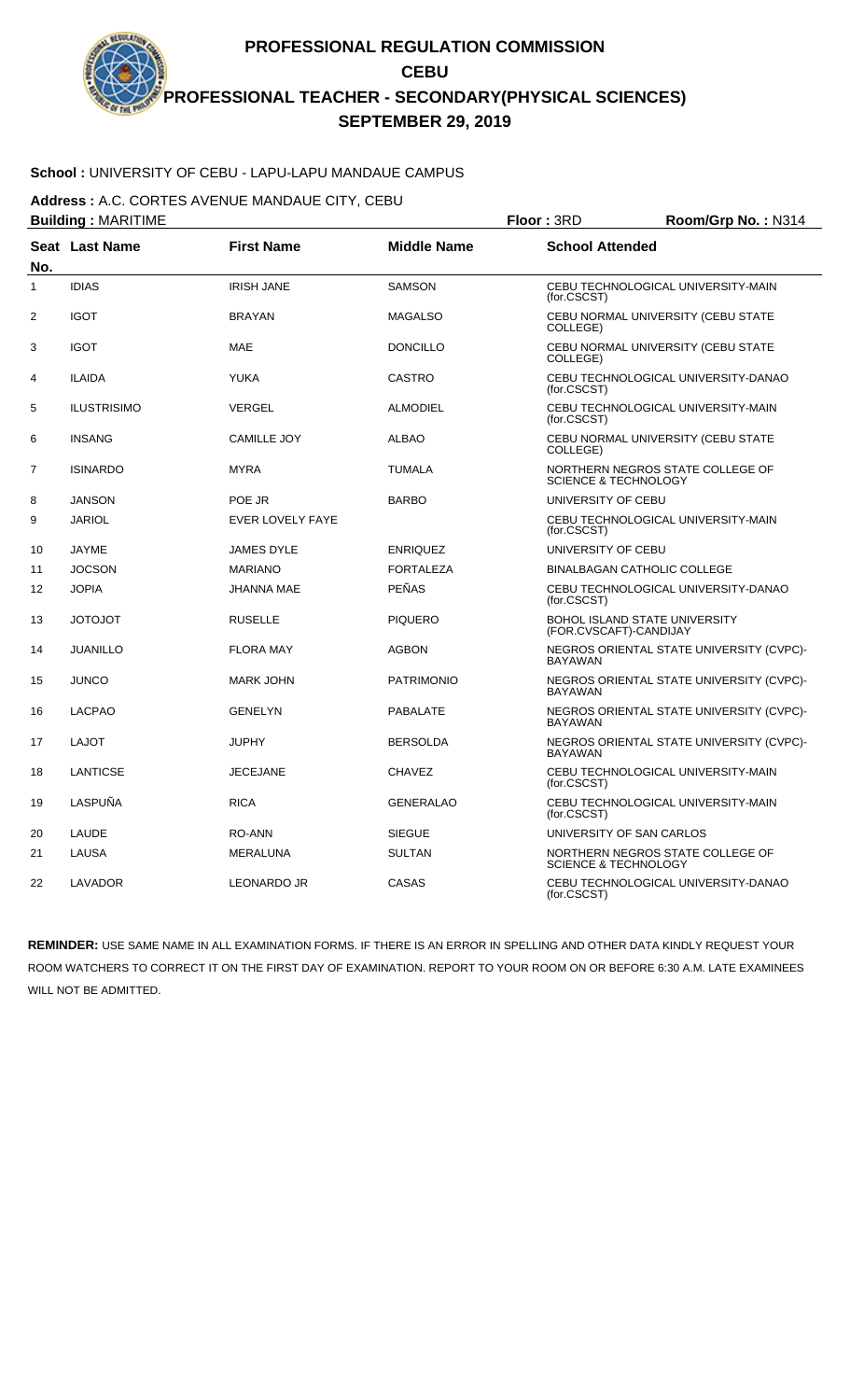# **School :** UNIVERSITY OF CEBU - LAPU-LAPU MANDAUE CAMPUS

**Address :** A.C. CORTES AVENUE MANDAUE CITY, CEBU

| <b>Building: MARITIME</b> |                    |                    |                    | Floor: 3RD                      | Room/Grp No.: N314                       |
|---------------------------|--------------------|--------------------|--------------------|---------------------------------|------------------------------------------|
| No.                       | Seat Last Name     | <b>First Name</b>  | <b>Middle Name</b> | <b>School Attended</b>          |                                          |
| 1                         | <b>IDIAS</b>       | <b>IRISH JANE</b>  | <b>SAMSON</b>      | (for.CSCST)                     | CEBU TECHNOLOGICAL UNIVERSITY-MAIN       |
| 2                         | <b>IGOT</b>        | <b>BRAYAN</b>      | <b>MAGALSO</b>     | COLLEGE)                        | CEBU NORMAL UNIVERSITY (CEBU STATE       |
| 3                         | <b>IGOT</b>        | <b>MAE</b>         | <b>DONCILLO</b>    | COLLEGE)                        | CEBU NORMAL UNIVERSITY (CEBU STATE       |
| 4                         | <b>ILAIDA</b>      | <b>YUKA</b>        | <b>CASTRO</b>      | (for.CSCST)                     | CEBU TECHNOLOGICAL UNIVERSITY-DANAO      |
| 5                         | <b>ILUSTRISIMO</b> | VERGEL             | <b>ALMODIEL</b>    | (for.CSCST)                     | CEBU TECHNOLOGICAL UNIVERSITY-MAIN       |
| 6                         | <b>INSANG</b>      | <b>CAMILLE JOY</b> | <b>ALBAO</b>       | COLLEGE)                        | CEBU NORMAL UNIVERSITY (CEBU STATE       |
| $\overline{7}$            | <b>ISINARDO</b>    | <b>MYRA</b>        | <b>TUMALA</b>      | <b>SCIENCE &amp; TECHNOLOGY</b> | NORTHERN NEGROS STATE COLLEGE OF         |
| 8                         | <b>JANSON</b>      | POE JR             | <b>BARBO</b>       | UNIVERSITY OF CEBU              |                                          |
| 9                         | <b>JARIOL</b>      | EVER LOVELY FAYE   |                    | (for.CSCST)                     | CEBU TECHNOLOGICAL UNIVERSITY-MAIN       |
| 10                        | JAYME              | <b>JAMES DYLE</b>  | <b>ENRIQUEZ</b>    | UNIVERSITY OF CEBU              |                                          |
| 11                        | <b>JOCSON</b>      | <b>MARIANO</b>     | <b>FORTALEZA</b>   |                                 | <b>BINALBAGAN CATHOLIC COLLEGE</b>       |
| 12                        | <b>JOPIA</b>       | <b>JHANNA MAE</b>  | PEÑAS              | (for.CSCST)                     | CEBU TECHNOLOGICAL UNIVERSITY-DANAO      |
| 13                        | <b>TOLOTOL</b>     | <b>RUSELLE</b>     | <b>PIQUERO</b>     | (FOR.CVSCAFT)-CANDIJAY          | <b>BOHOL ISLAND STATE UNIVERSITY</b>     |
| 14                        | <b>JUANILLO</b>    | <b>FLORA MAY</b>   | <b>AGBON</b>       | <b>BAYAWAN</b>                  | NEGROS ORIENTAL STATE UNIVERSITY (CVPC)- |
| 15                        | <b>JUNCO</b>       | <b>MARK JOHN</b>   | <b>PATRIMONIO</b>  | <b>BAYAWAN</b>                  | NEGROS ORIENTAL STATE UNIVERSITY (CVPC)- |
| 16                        | <b>LACPAO</b>      | <b>GENELYN</b>     | <b>PABALATE</b>    | <b>BAYAWAN</b>                  | NEGROS ORIENTAL STATE UNIVERSITY (CVPC)- |
| 17                        | <b>LAJOT</b>       | <b>JUPHY</b>       | <b>BERSOLDA</b>    | <b>BAYAWAN</b>                  | NEGROS ORIENTAL STATE UNIVERSITY (CVPC)- |
| 18                        | <b>LANTICSE</b>    | <b>JECEJANE</b>    | <b>CHAVEZ</b>      | (for.CSCST)                     | CEBU TECHNOLOGICAL UNIVERSITY-MAIN       |
| 19                        | LASPUÑA            | <b>RICA</b>        | <b>GENERALAO</b>   | (for.CSCST)                     | CEBU TECHNOLOGICAL UNIVERSITY-MAIN       |
| 20                        | LAUDE              | RO-ANN             | <b>SIEGUE</b>      | UNIVERSITY OF SAN CARLOS        |                                          |
| 21                        | <b>LAUSA</b>       | <b>MERALUNA</b>    | <b>SULTAN</b>      | <b>SCIENCE &amp; TECHNOLOGY</b> | NORTHERN NEGROS STATE COLLEGE OF         |
| 22                        | LAVADOR            | <b>LEONARDO JR</b> | CASAS              | (for.CSCST)                     | CEBU TECHNOLOGICAL UNIVERSITY-DANAO      |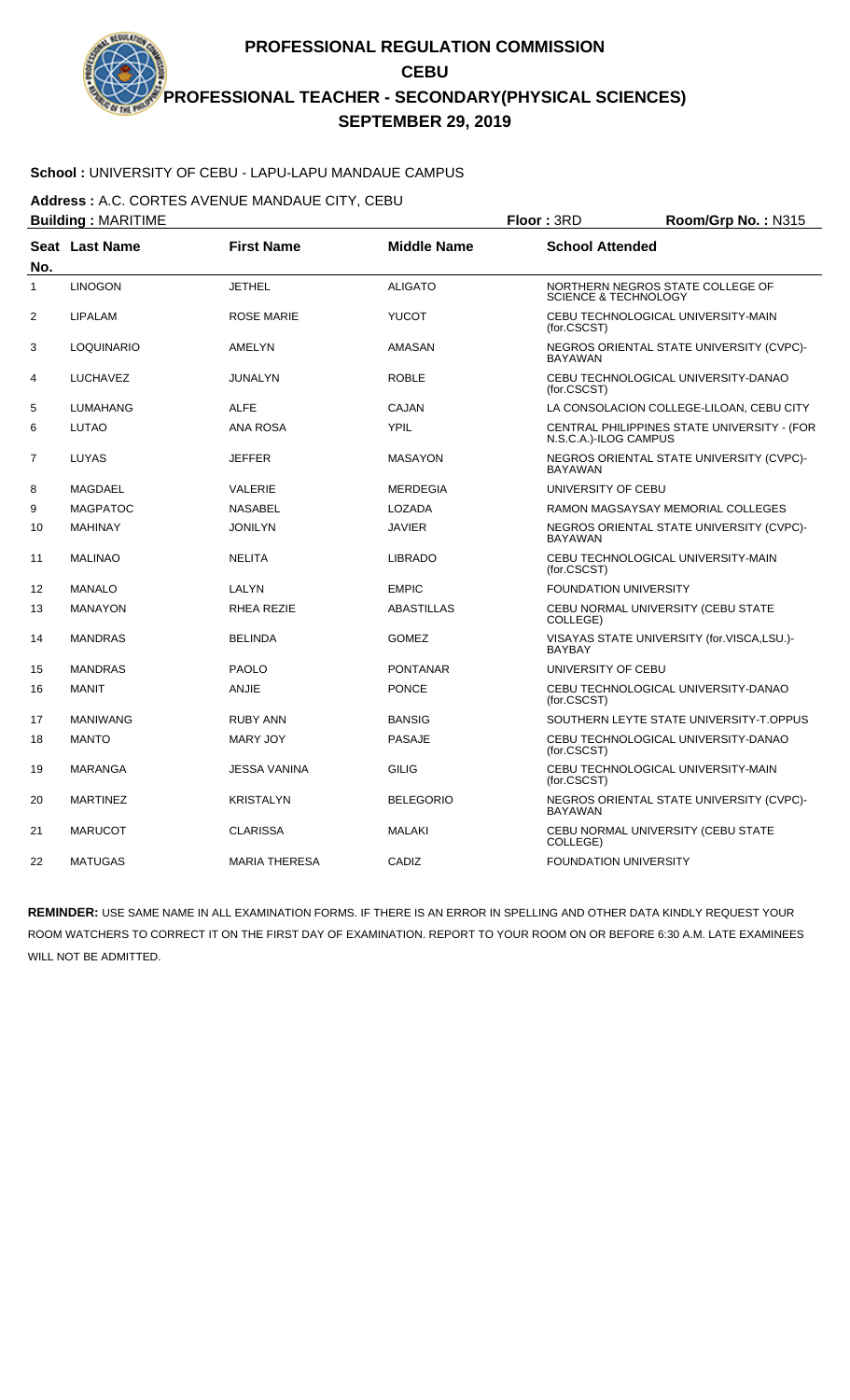## **School :** UNIVERSITY OF CEBU - LAPU-LAPU MANDAUE CAMPUS

**Address :** A.C. CORTES AVENUE MANDAUE CITY, CEBU

| <b>Building: MARITIME</b> |                   |                      |                    | Floor: 3RD                      | Room/Grp No.: N315                          |
|---------------------------|-------------------|----------------------|--------------------|---------------------------------|---------------------------------------------|
| No.                       | Seat Last Name    | <b>First Name</b>    | <b>Middle Name</b> | <b>School Attended</b>          |                                             |
| $\mathbf{1}$              | <b>LINOGON</b>    | <b>JETHEL</b>        | <b>ALIGATO</b>     | <b>SCIENCE &amp; TECHNOLOGY</b> | NORTHERN NEGROS STATE COLLEGE OF            |
| 2                         | <b>LIPALAM</b>    | <b>ROSE MARIE</b>    | <b>YUCOT</b>       | (for.CSCST)                     | CEBU TECHNOLOGICAL UNIVERSITY-MAIN          |
| 3                         | <b>LOQUINARIO</b> | AMELYN               | <b>AMASAN</b>      | <b>BAYAWAN</b>                  | NEGROS ORIENTAL STATE UNIVERSITY (CVPC)-    |
| 4                         | LUCHAVEZ          | <b>JUNALYN</b>       | <b>ROBLE</b>       | (for.CSCST)                     | CEBU TECHNOLOGICAL UNIVERSITY-DANAO         |
| 5                         | LUMAHANG          | ALFE                 | CAJAN              |                                 | LA CONSOLACION COLLEGE-LILOAN, CEBU CITY    |
| 6                         | <b>LUTAO</b>      | <b>ANA ROSA</b>      | <b>YPIL</b>        | N.S.C.A.)-ILOG CAMPUS           | CENTRAL PHILIPPINES STATE UNIVERSITY - (FOR |
| 7                         | LUYAS             | <b>JEFFER</b>        | <b>MASAYON</b>     | <b>BAYAWAN</b>                  | NEGROS ORIENTAL STATE UNIVERSITY (CVPC)-    |
| 8                         | MAGDAEL           | <b>VALERIE</b>       | <b>MERDEGIA</b>    | UNIVERSITY OF CEBU              |                                             |
| 9                         | <b>MAGPATOC</b>   | <b>NASABEL</b>       | LOZADA             |                                 | RAMON MAGSAYSAY MEMORIAL COLLEGES           |
| 10                        | <b>MAHINAY</b>    | <b>JONILYN</b>       | <b>JAVIER</b>      | <b>BAYAWAN</b>                  | NEGROS ORIENTAL STATE UNIVERSITY (CVPC)-    |
| 11                        | <b>MALINAO</b>    | <b>NELITA</b>        | <b>LIBRADO</b>     | (for.CSCST)                     | CEBU TECHNOLOGICAL UNIVERSITY-MAIN          |
| 12                        | <b>MANALO</b>     | LALYN                | <b>EMPIC</b>       | <b>FOUNDATION UNIVERSITY</b>    |                                             |
| 13                        | <b>MANAYON</b>    | RHEA REZIE           | <b>ABASTILLAS</b>  | COLLEGE)                        | CEBU NORMAL UNIVERSITY (CEBU STATE          |
| 14                        | <b>MANDRAS</b>    | <b>BELINDA</b>       | <b>GOMEZ</b>       | <b>BAYBAY</b>                   | VISAYAS STATE UNIVERSITY (for.VISCA,LSU.)-  |
| 15                        | <b>MANDRAS</b>    | <b>PAOLO</b>         | <b>PONTANAR</b>    | UNIVERSITY OF CEBU              |                                             |
| 16                        | MANIT             | ANJIE                | <b>PONCE</b>       | (for.CSCST)                     | CEBU TECHNOLOGICAL UNIVERSITY-DANAO         |
| 17                        | <b>MANIWANG</b>   | <b>RUBY ANN</b>      | <b>BANSIG</b>      |                                 | SOUTHERN LEYTE STATE UNIVERSITY-T.OPPUS     |
| 18                        | <b>MANTO</b>      | MARY JOY             | <b>PASAJE</b>      | (for.CSCST)                     | CEBU TECHNOLOGICAL UNIVERSITY-DANAO         |
| 19                        | <b>MARANGA</b>    | <b>JESSA VANINA</b>  | <b>GILIG</b>       | (for.CSCST)                     | CEBU TECHNOLOGICAL UNIVERSITY-MAIN          |
| 20                        | <b>MARTINEZ</b>   | <b>KRISTALYN</b>     | <b>BELEGORIO</b>   | <b>BAYAWAN</b>                  | NEGROS ORIENTAL STATE UNIVERSITY (CVPC)-    |
| 21                        | <b>MARUCOT</b>    | <b>CLARISSA</b>      | <b>MALAKI</b>      | COLLEGE)                        | CEBU NORMAL UNIVERSITY (CEBU STATE          |
| 22                        | <b>MATUGAS</b>    | <b>MARIA THERESA</b> | CADIZ              | <b>FOUNDATION UNIVERSITY</b>    |                                             |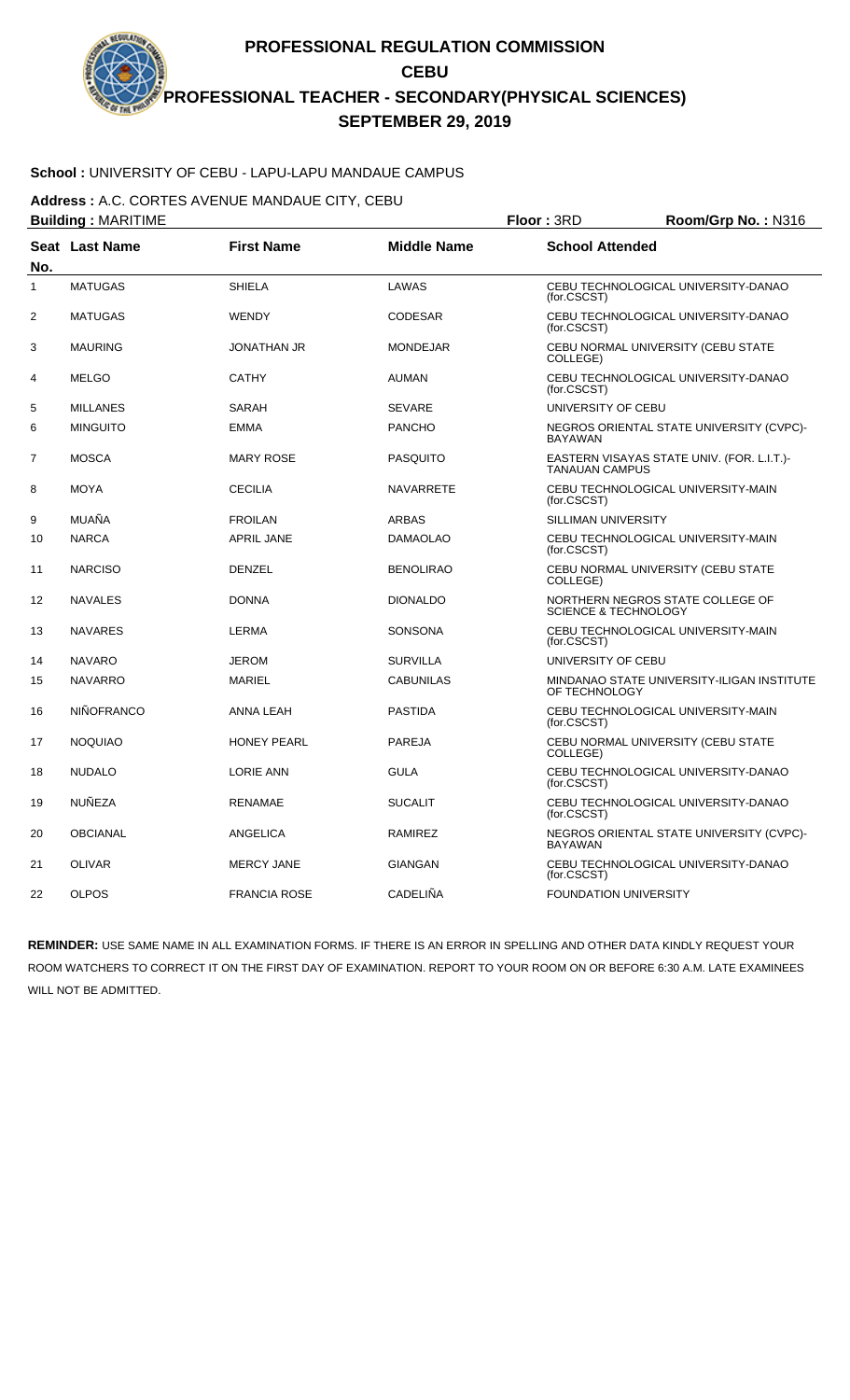# **School :** UNIVERSITY OF CEBU - LAPU-LAPU MANDAUE CAMPUS

**Address :** A.C. CORTES AVENUE MANDAUE CITY, CEBU

| <b>Building: MARITIME</b> |                       |                     |                    | Floor: 3RD<br>Room/Grp No.: N316                                    |  |
|---------------------------|-----------------------|---------------------|--------------------|---------------------------------------------------------------------|--|
| No.                       | <b>Seat Last Name</b> | <b>First Name</b>   | <b>Middle Name</b> | <b>School Attended</b>                                              |  |
| 1                         | <b>MATUGAS</b>        | <b>SHIELA</b>       | LAWAS              | CEBU TECHNOLOGICAL UNIVERSITY-DANAO<br>(for.CSCST)                  |  |
| 2                         | <b>MATUGAS</b>        | <b>WENDY</b>        | <b>CODESAR</b>     | CEBU TECHNOLOGICAL UNIVERSITY-DANAO<br>(for.CSCST)                  |  |
| 3                         | <b>MAURING</b>        | <b>JONATHAN JR</b>  | <b>MONDEJAR</b>    | CEBU NORMAL UNIVERSITY (CEBU STATE<br>COLLEGE)                      |  |
| 4                         | <b>MELGO</b>          | <b>CATHY</b>        | <b>AUMAN</b>       | CEBU TECHNOLOGICAL UNIVERSITY-DANAO<br>(for.CSCST)                  |  |
| 5                         | <b>MILLANES</b>       | SARAH               | <b>SEVARE</b>      | UNIVERSITY OF CEBU                                                  |  |
| 6                         | <b>MINGUITO</b>       | <b>EMMA</b>         | <b>PANCHO</b>      | NEGROS ORIENTAL STATE UNIVERSITY (CVPC)-<br><b>BAYAWAN</b>          |  |
| 7                         | <b>MOSCA</b>          | <b>MARY ROSE</b>    | <b>PASQUITO</b>    | EASTERN VISAYAS STATE UNIV. (FOR. L.I.T.)-<br><b>TANAUAN CAMPUS</b> |  |
| 8                         | <b>MOYA</b>           | <b>CECILIA</b>      | <b>NAVARRETE</b>   | CEBU TECHNOLOGICAL UNIVERSITY-MAIN<br>(for.CSCST)                   |  |
| 9                         | MUAÑA                 | <b>FROILAN</b>      | <b>ARBAS</b>       | <b>SILLIMAN UNIVERSITY</b>                                          |  |
| 10                        | <b>NARCA</b>          | <b>APRIL JANE</b>   | <b>DAMAOLAO</b>    | CEBU TECHNOLOGICAL UNIVERSITY-MAIN<br>(for.CSCST)                   |  |
| 11                        | <b>NARCISO</b>        | <b>DENZEL</b>       | <b>BENOLIRAO</b>   | CEBU NORMAL UNIVERSITY (CEBU STATE<br>COLLEGE)                      |  |
| 12                        | <b>NAVALES</b>        | <b>DONNA</b>        | <b>DIONALDO</b>    | NORTHERN NEGROS STATE COLLEGE OF<br><b>SCIENCE &amp; TECHNOLOGY</b> |  |
| 13                        | <b>NAVARES</b>        | <b>LERMA</b>        | <b>SONSONA</b>     | CEBU TECHNOLOGICAL UNIVERSITY-MAIN<br>(for.CSCST)                   |  |
| 14                        | <b>NAVARO</b>         | <b>JEROM</b>        | <b>SURVILLA</b>    | UNIVERSITY OF CEBU                                                  |  |
| 15                        | <b>NAVARRO</b>        | <b>MARIEL</b>       | <b>CABUNILAS</b>   | MINDANAO STATE UNIVERSITY-ILIGAN INSTITUTE<br>OF TECHNOLOGY         |  |
| 16                        | <b>NIÑOFRANCO</b>     | ANNA LEAH           | <b>PASTIDA</b>     | CEBU TECHNOLOGICAL UNIVERSITY-MAIN<br>(for.CSCST)                   |  |
| 17                        | <b>NOQUIAO</b>        | <b>HONEY PEARL</b>  | <b>PAREJA</b>      | CEBU NORMAL UNIVERSITY (CEBU STATE<br>COLLEGE)                      |  |
| 18                        | <b>NUDALO</b>         | <b>LORIE ANN</b>    | <b>GULA</b>        | CEBU TECHNOLOGICAL UNIVERSITY-DANAO<br>(for.CSCST)                  |  |
| 19                        | <b>NUÑEZA</b>         | <b>RENAMAE</b>      | <b>SUCALIT</b>     | CEBU TECHNOLOGICAL UNIVERSITY-DANAO<br>(for.CSCST)                  |  |
| 20                        | <b>OBCIANAL</b>       | ANGELICA            | RAMIREZ            | NEGROS ORIENTAL STATE UNIVERSITY (CVPC)-<br><b>BAYAWAN</b>          |  |
| 21                        | <b>OLIVAR</b>         | <b>MERCY JANE</b>   | <b>GIANGAN</b>     | CEBU TECHNOLOGICAL UNIVERSITY-DANAO<br>(for.CSCST)                  |  |
| 22                        | <b>OLPOS</b>          | <b>FRANCIA ROSE</b> | <b>CADELIÑA</b>    | <b>FOUNDATION UNIVERSITY</b>                                        |  |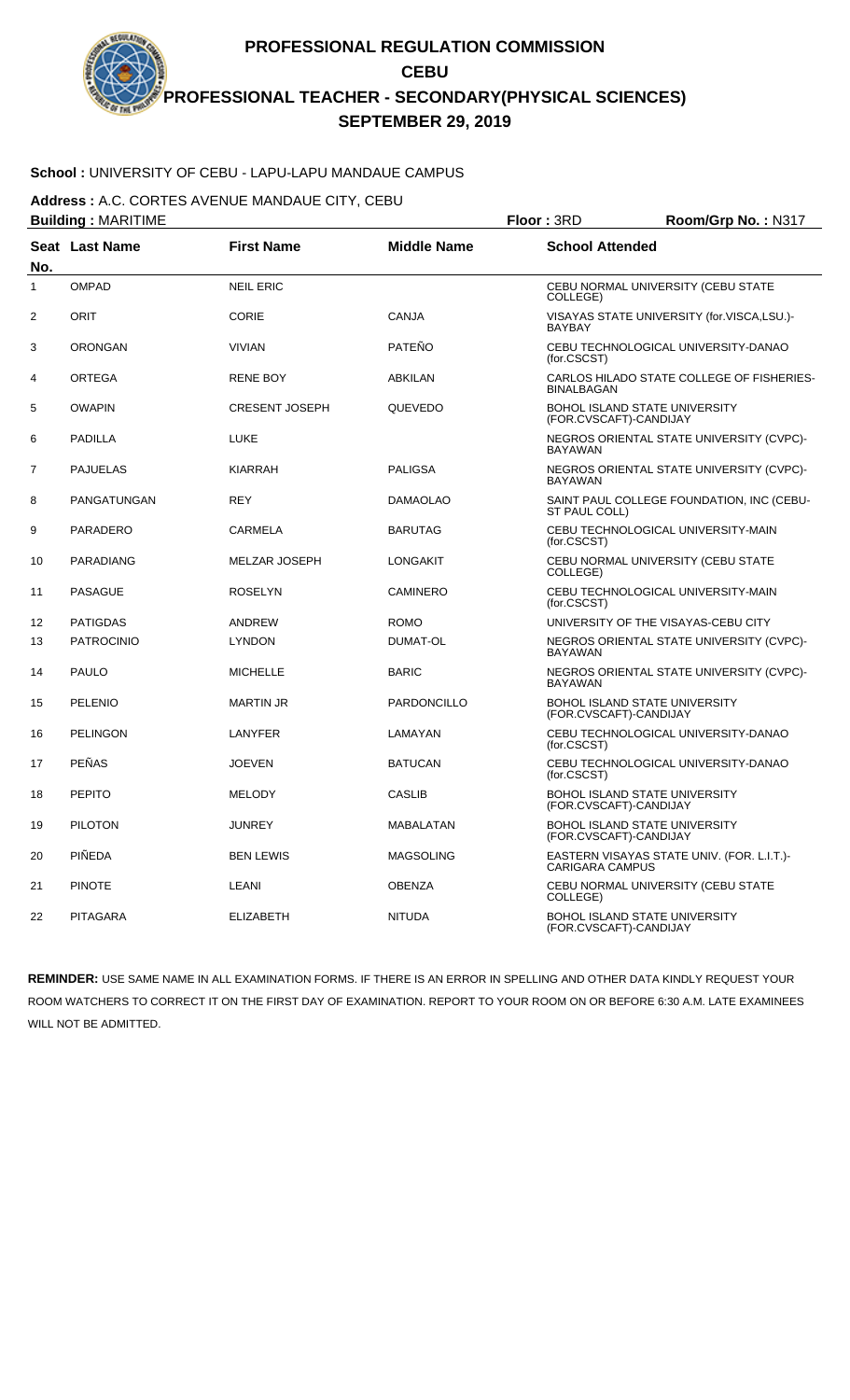# **School :** UNIVERSITY OF CEBU - LAPU-LAPU MANDAUE CAMPUS

**Address :** A.C. CORTES AVENUE MANDAUE CITY, CEBU

| <b>Building: MARITIME</b> |                       |                       |                    | Floor: 3RD             | Room/Grp No.: N317                         |
|---------------------------|-----------------------|-----------------------|--------------------|------------------------|--------------------------------------------|
| No.                       | <b>Seat Last Name</b> | <b>First Name</b>     | <b>Middle Name</b> | <b>School Attended</b> |                                            |
| $\mathbf{1}$              | <b>OMPAD</b>          | <b>NEIL ERIC</b>      |                    | COLLEGE)               | CEBU NORMAL UNIVERSITY (CEBU STATE         |
| $\overline{2}$            | ORIT                  | <b>CORIE</b>          | <b>CANJA</b>       | <b>BAYBAY</b>          | VISAYAS STATE UNIVERSITY (for.VISCA,LSU.)- |
| 3                         | <b>ORONGAN</b>        | <b>VIVIAN</b>         | PATEÑO             | (for.CSCST)            | CEBU TECHNOLOGICAL UNIVERSITY-DANAO        |
| 4                         | <b>ORTEGA</b>         | <b>RENE BOY</b>       | <b>ABKILAN</b>     | <b>BINALBAGAN</b>      | CARLOS HILADO STATE COLLEGE OF FISHERIES-  |
| 5                         | <b>OWAPIN</b>         | <b>CRESENT JOSEPH</b> | QUEVEDO            | (FOR.CVSCAFT)-CANDIJAY | <b>BOHOL ISLAND STATE UNIVERSITY</b>       |
| 6                         | <b>PADILLA</b>        | <b>LUKE</b>           |                    | <b>BAYAWAN</b>         | NEGROS ORIENTAL STATE UNIVERSITY (CVPC)-   |
| $\overline{7}$            | <b>PAJUELAS</b>       | <b>KIARRAH</b>        | <b>PALIGSA</b>     | <b>BAYAWAN</b>         | NEGROS ORIENTAL STATE UNIVERSITY (CVPC)-   |
| 8                         | PANGATUNGAN           | <b>REY</b>            | <b>DAMAOLAO</b>    | ST PAUL COLL)          | SAINT PAUL COLLEGE FOUNDATION, INC (CEBU-  |
| 9                         | <b>PARADERO</b>       | <b>CARMELA</b>        | <b>BARUTAG</b>     | (for.CSCST)            | CEBU TECHNOLOGICAL UNIVERSITY-MAIN         |
| 10                        | <b>PARADIANG</b>      | <b>MELZAR JOSEPH</b>  | <b>LONGAKIT</b>    | COLLEGE)               | CEBU NORMAL UNIVERSITY (CEBU STATE         |
| 11                        | <b>PASAGUE</b>        | <b>ROSELYN</b>        | <b>CAMINERO</b>    | (for.CSCST)            | CEBU TECHNOLOGICAL UNIVERSITY-MAIN         |
| 12                        | <b>PATIGDAS</b>       | ANDREW                | <b>ROMO</b>        |                        | UNIVERSITY OF THE VISAYAS-CEBU CITY        |
| 13                        | <b>PATROCINIO</b>     | <b>LYNDON</b>         | DUMAT-OL           | <b>BAYAWAN</b>         | NEGROS ORIENTAL STATE UNIVERSITY (CVPC)-   |
| 14                        | <b>PAULO</b>          | <b>MICHELLE</b>       | <b>BARIC</b>       | <b>BAYAWAN</b>         | NEGROS ORIENTAL STATE UNIVERSITY (CVPC)-   |
| 15                        | PELENIO               | <b>MARTIN JR</b>      | PARDONCILLO        | (FOR.CVSCAFT)-CANDIJAY | <b>BOHOL ISLAND STATE UNIVERSITY</b>       |
| 16                        | <b>PELINGON</b>       | LANYFER               | LAMAYAN            | (for.CSCST)            | CEBU TECHNOLOGICAL UNIVERSITY-DANAO        |
| 17                        | <b>PEÑAS</b>          | <b>JOEVEN</b>         | <b>BATUCAN</b>     | (for.CSCST)            | CEBU TECHNOLOGICAL UNIVERSITY-DANAO        |
| 18                        | <b>PEPITO</b>         | <b>MELODY</b>         | <b>CASLIB</b>      | (FOR.CVSCAFT)-CANDIJAY | BOHOL ISLAND STATE UNIVERSITY              |
| 19                        | <b>PILOTON</b>        | <b>JUNREY</b>         | MABALATAN          | (FOR.CVSCAFT)-CANDIJAY | BOHOL ISLAND STATE UNIVERSITY              |
| 20                        | <b>PINEDA</b>         | <b>BEN LEWIS</b>      | <b>MAGSOLING</b>   | <b>CARIGARA CAMPUS</b> | EASTERN VISAYAS STATE UNIV. (FOR. L.I.T.)- |
| 21                        | <b>PINOTE</b>         | LEANI                 | <b>OBENZA</b>      | COLLEGE)               | CEBU NORMAL UNIVERSITY (CEBU STATE         |
| 22                        | <b>PITAGARA</b>       | <b>ELIZABETH</b>      | <b>NITUDA</b>      | (FOR.CVSCAFT)-CANDIJAY | <b>BOHOL ISLAND STATE UNIVERSITY</b>       |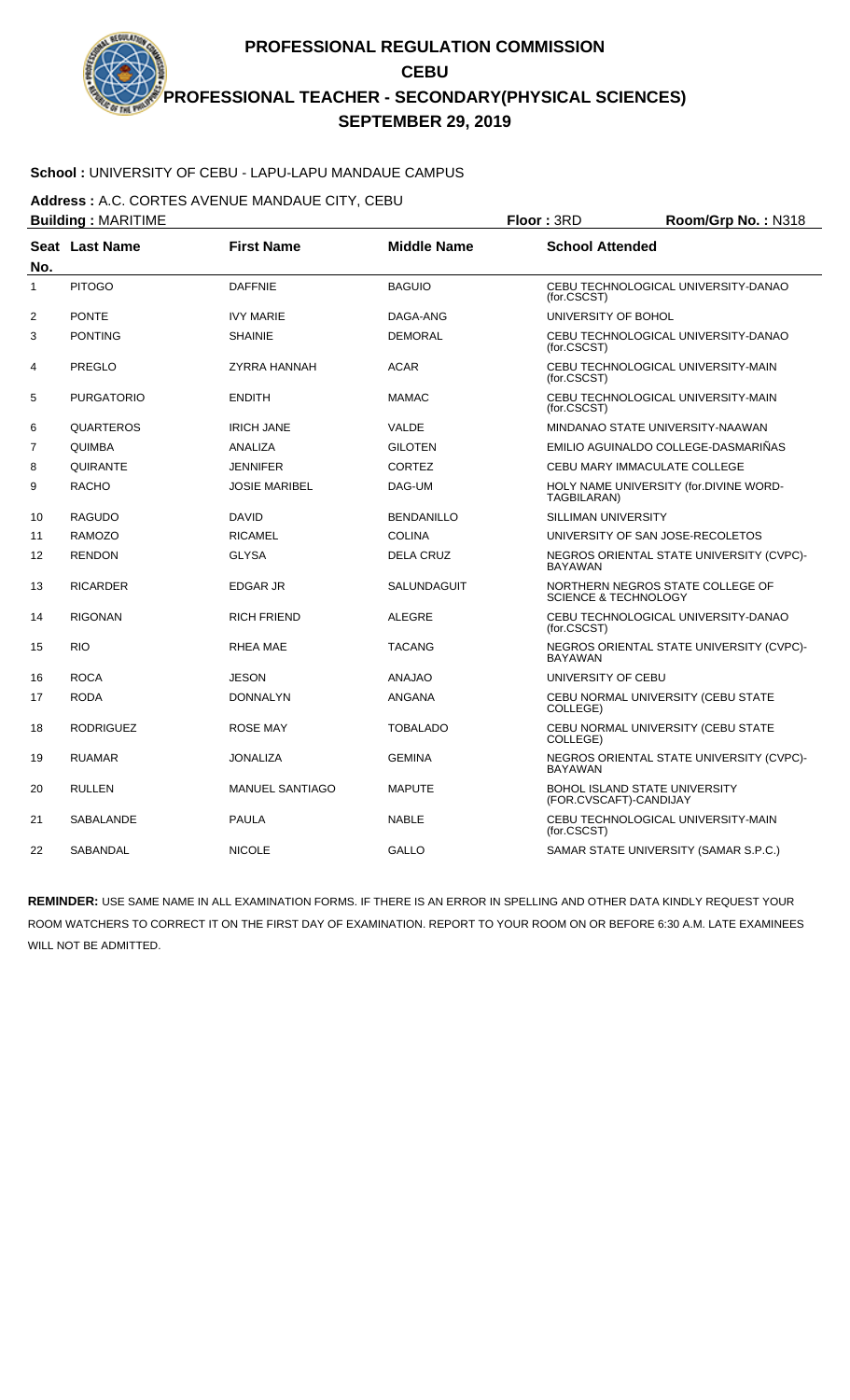# **School :** UNIVERSITY OF CEBU - LAPU-LAPU MANDAUE CAMPUS

**Address :** A.C. CORTES AVENUE MANDAUE CITY, CEBU

|                | <b>Building: MARITIME</b> |                        | Floor: 3RD         | Room/Grp No.: N318         |                                                                     |  |
|----------------|---------------------------|------------------------|--------------------|----------------------------|---------------------------------------------------------------------|--|
| No.            | Seat Last Name            | <b>First Name</b>      | <b>Middle Name</b> |                            | <b>School Attended</b>                                              |  |
| $\mathbf{1}$   | <b>PITOGO</b>             | <b>DAFFNIE</b>         | <b>BAGUIO</b>      | (for.CSCST)                | CEBU TECHNOLOGICAL UNIVERSITY-DANAO                                 |  |
| $\overline{2}$ | <b>PONTE</b>              | <b>IVY MARIE</b>       | DAGA-ANG           | UNIVERSITY OF BOHOL        |                                                                     |  |
| 3              | <b>PONTING</b>            | <b>SHAINIE</b>         | <b>DEMORAL</b>     | (for.CSCST)                | CEBU TECHNOLOGICAL UNIVERSITY-DANAO                                 |  |
| 4              | <b>PREGLO</b>             | ZYRRA HANNAH           | <b>ACAR</b>        | (for.CSCST)                | CEBU TECHNOLOGICAL UNIVERSITY-MAIN                                  |  |
| 5              | <b>PURGATORIO</b>         | <b>ENDITH</b>          | <b>MAMAC</b>       | (for.CSCST)                | CEBU TECHNOLOGICAL UNIVERSITY-MAIN                                  |  |
| 6              | <b>QUARTEROS</b>          | <b>IRICH JANE</b>      | VALDE              |                            | MINDANAO STATE UNIVERSITY-NAAWAN                                    |  |
| 7              | <b>QUIMBA</b>             | <b>ANALIZA</b>         | <b>GILOTEN</b>     |                            | EMILIO AGUINALDO COLLEGE-DASMARIÑAS                                 |  |
| 8              | QUIRANTE                  | <b>JENNIFER</b>        | <b>CORTEZ</b>      |                            | CEBU MARY IMMACULATE COLLEGE                                        |  |
| 9              | <b>RACHO</b>              | <b>JOSIE MARIBEL</b>   | DAG-UM             | TAGBILARAN)                | HOLY NAME UNIVERSITY (for.DIVINE WORD-                              |  |
| 10             | <b>RAGUDO</b>             | <b>DAVID</b>           | <b>BENDANILLO</b>  | <b>SILLIMAN UNIVERSITY</b> |                                                                     |  |
| 11             | <b>RAMOZO</b>             | <b>RICAMEL</b>         | <b>COLINA</b>      |                            | UNIVERSITY OF SAN JOSE-RECOLETOS                                    |  |
| 12             | <b>RENDON</b>             | <b>GLYSA</b>           | <b>DELA CRUZ</b>   | <b>BAYAWAN</b>             | NEGROS ORIENTAL STATE UNIVERSITY (CVPC)-                            |  |
| 13             | <b>RICARDER</b>           | <b>EDGAR JR</b>        | <b>SALUNDAGUIT</b> |                            | NORTHERN NEGROS STATE COLLEGE OF<br><b>SCIENCE &amp; TECHNOLOGY</b> |  |
| 14             | <b>RIGONAN</b>            | <b>RICH FRIEND</b>     | <b>ALEGRE</b>      | (for.CSCST)                | CEBU TECHNOLOGICAL UNIVERSITY-DANAO                                 |  |
| 15             | <b>RIO</b>                | RHEA MAE               | <b>TACANG</b>      | <b>BAYAWAN</b>             | NEGROS ORIENTAL STATE UNIVERSITY (CVPC)-                            |  |
| 16             | <b>ROCA</b>               | <b>JESON</b>           | <b>ANAJAO</b>      | UNIVERSITY OF CEBU         |                                                                     |  |
| 17             | <b>RODA</b>               | <b>DONNALYN</b>        | <b>ANGANA</b>      | COLLEGE)                   | CEBU NORMAL UNIVERSITY (CEBU STATE                                  |  |
| 18             | <b>RODRIGUEZ</b>          | <b>ROSE MAY</b>        | <b>TOBALADO</b>    | COLLEGE)                   | CEBU NORMAL UNIVERSITY (CEBU STATE                                  |  |
| 19             | <b>RUAMAR</b>             | <b>JONALIZA</b>        | <b>GEMINA</b>      | <b>BAYAWAN</b>             | NEGROS ORIENTAL STATE UNIVERSITY (CVPC)-                            |  |
| 20             | <b>RULLEN</b>             | <b>MANUEL SANTIAGO</b> | <b>MAPUTE</b>      | (FOR.CVSCAFT)-CANDIJAY     | <b>BOHOL ISLAND STATE UNIVERSITY</b>                                |  |
| 21             | SABALANDE                 | <b>PAULA</b>           | <b>NABLE</b>       | (for.CSCST)                | CEBU TECHNOLOGICAL UNIVERSITY-MAIN                                  |  |
| 22             | SABANDAL                  | <b>NICOLE</b>          | <b>GALLO</b>       |                            | SAMAR STATE UNIVERSITY (SAMAR S.P.C.)                               |  |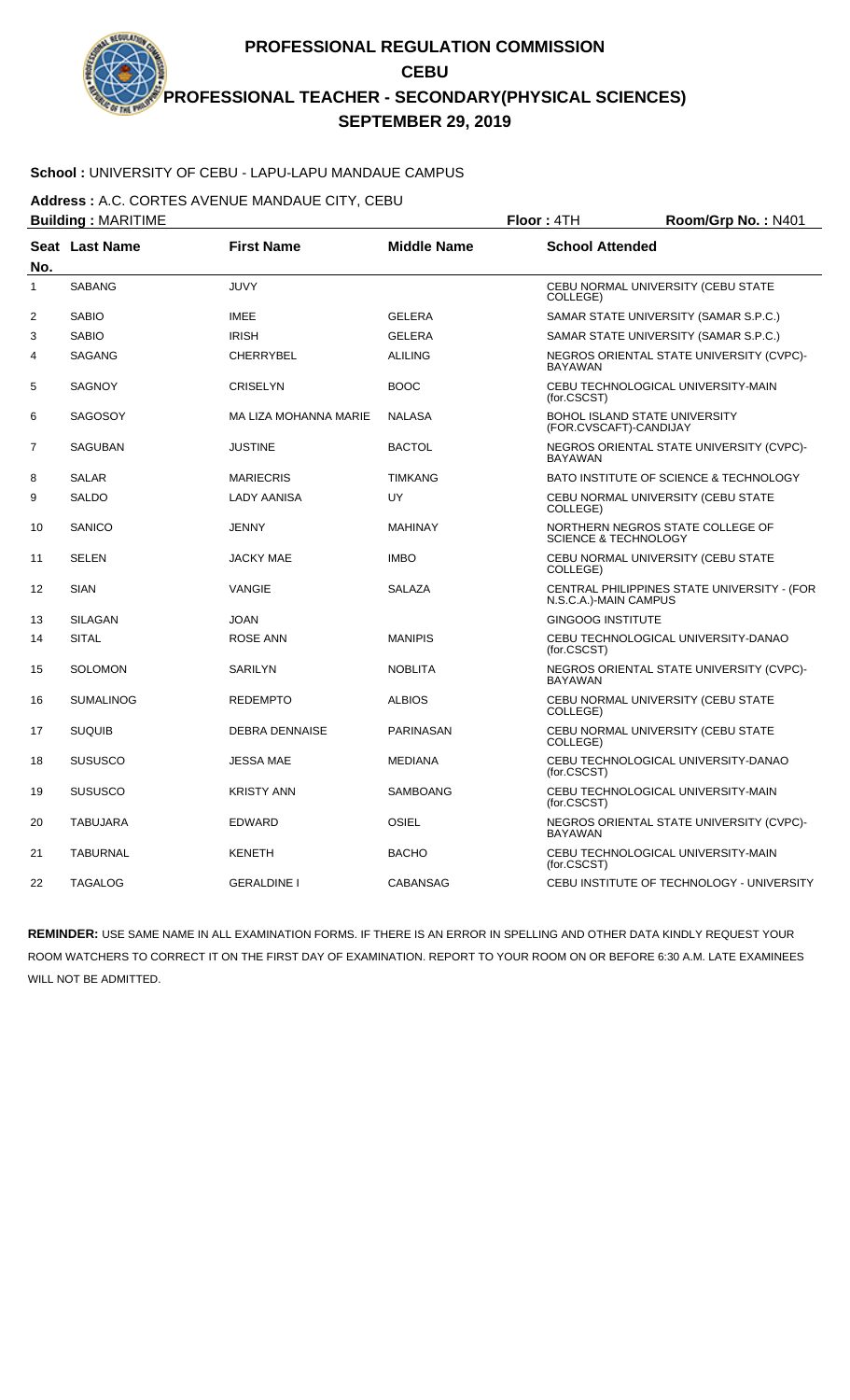# **School :** UNIVERSITY OF CEBU - LAPU-LAPU MANDAUE CAMPUS

**Address :** A.C. CORTES AVENUE MANDAUE CITY, CEBU

|              | <b>Building: MARITIME</b> |                       | Floor: 4TH         | Room/Grp No.: N401              |                                                                |  |
|--------------|---------------------------|-----------------------|--------------------|---------------------------------|----------------------------------------------------------------|--|
| No.          | Seat Last Name            | <b>First Name</b>     | <b>Middle Name</b> |                                 | <b>School Attended</b>                                         |  |
| $\mathbf{1}$ | <b>SABANG</b>             | <b>JUVY</b>           |                    | COLLEGE)                        | CEBU NORMAL UNIVERSITY (CEBU STATE                             |  |
| 2            | <b>SABIO</b>              | <b>IMEE</b>           | <b>GELERA</b>      |                                 | SAMAR STATE UNIVERSITY (SAMAR S.P.C.)                          |  |
| 3            | <b>SABIO</b>              | <b>IRISH</b>          | <b>GELERA</b>      |                                 | SAMAR STATE UNIVERSITY (SAMAR S.P.C.)                          |  |
| 4            | <b>SAGANG</b>             | <b>CHERRYBEL</b>      | <b>ALILING</b>     | <b>BAYAWAN</b>                  | NEGROS ORIENTAL STATE UNIVERSITY (CVPC)-                       |  |
| 5            | <b>SAGNOY</b>             | <b>CRISELYN</b>       | <b>BOOC</b>        | (for.CSCST)                     | CEBU TECHNOLOGICAL UNIVERSITY-MAIN                             |  |
| 6            | <b>SAGOSOY</b>            | MA LIZA MOHANNA MARIE | <b>NALASA</b>      |                                 | <b>BOHOL ISLAND STATE UNIVERSITY</b><br>(FOR.CVSCAFT)-CANDIJAY |  |
| 7            | <b>SAGUBAN</b>            | <b>JUSTINE</b>        | <b>BACTOL</b>      | <b>BAYAWAN</b>                  | NEGROS ORIENTAL STATE UNIVERSITY (CVPC)-                       |  |
| 8            | <b>SALAR</b>              | <b>MARIECRIS</b>      | <b>TIMKANG</b>     |                                 | BATO INSTITUTE OF SCIENCE & TECHNOLOGY                         |  |
| 9            | <b>SALDO</b>              | <b>LADY AANISA</b>    | UY                 | COLLEGE)                        | CEBU NORMAL UNIVERSITY (CEBU STATE                             |  |
| 10           | SANICO                    | JENNY                 | <b>MAHINAY</b>     | <b>SCIENCE &amp; TECHNOLOGY</b> | NORTHERN NEGROS STATE COLLEGE OF                               |  |
| 11           | <b>SELEN</b>              | <b>JACKY MAE</b>      | <b>IMBO</b>        | COLLEGE)                        | CEBU NORMAL UNIVERSITY (CEBU STATE                             |  |
| 12           | <b>SIAN</b>               | <b>VANGIE</b>         | <b>SALAZA</b>      | N.S.C.A.)-MAIN CAMPUS           | CENTRAL PHILIPPINES STATE UNIVERSITY - (FOR                    |  |
| 13           | <b>SILAGAN</b>            | <b>JOAN</b>           |                    | <b>GINGOOG INSTITUTE</b>        |                                                                |  |
| 14           | <b>SITAL</b>              | <b>ROSE ANN</b>       | <b>MANIPIS</b>     | (for.CSCST)                     | CEBU TECHNOLOGICAL UNIVERSITY-DANAO                            |  |
| 15           | <b>SOLOMON</b>            | <b>SARILYN</b>        | <b>NOBLITA</b>     | <b>BAYAWAN</b>                  | NEGROS ORIENTAL STATE UNIVERSITY (CVPC)-                       |  |
| 16           | <b>SUMALINOG</b>          | <b>REDEMPTO</b>       | <b>ALBIOS</b>      | COLLEGE)                        | CEBU NORMAL UNIVERSITY (CEBU STATE                             |  |
| 17           | <b>SUQUIB</b>             | <b>DEBRA DENNAISE</b> | PARINASAN          | COLLEGE)                        | CEBU NORMAL UNIVERSITY (CEBU STATE                             |  |
| 18           | <b>SUSUSCO</b>            | <b>JESSA MAE</b>      | <b>MEDIANA</b>     | (for.CSCST)                     | CEBU TECHNOLOGICAL UNIVERSITY-DANAO                            |  |
| 19           | <b>SUSUSCO</b>            | <b>KRISTY ANN</b>     | <b>SAMBOANG</b>    | (for.CSCST)                     | CEBU TECHNOLOGICAL UNIVERSITY-MAIN                             |  |
| 20           | <b>TABUJARA</b>           | EDWARD                | OSIEL              | <b>BAYAWAN</b>                  | NEGROS ORIENTAL STATE UNIVERSITY (CVPC)-                       |  |
| 21           | <b>TABURNAL</b>           | <b>KENETH</b>         | <b>BACHO</b>       | (for.CSCST)                     | CEBU TECHNOLOGICAL UNIVERSITY-MAIN                             |  |
| 22           | <b>TAGALOG</b>            | <b>GERALDINE I</b>    | <b>CABANSAG</b>    |                                 | CEBU INSTITUTE OF TECHNOLOGY - UNIVERSITY                      |  |